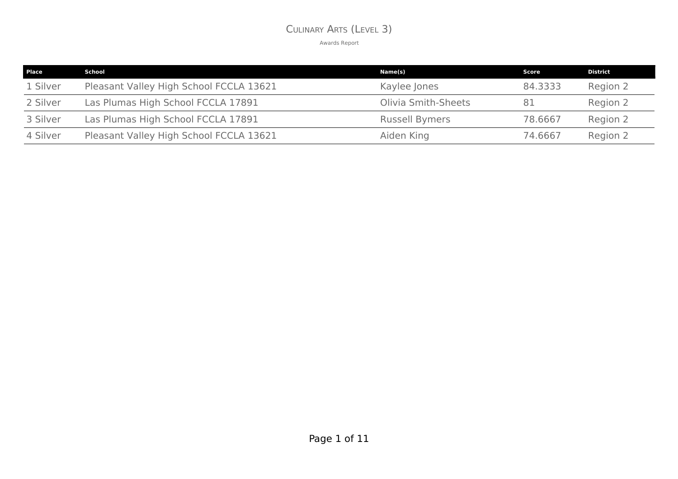#### CULINARY ARTS (LEVEL 3)

| <b>Place</b> | School                                  | Name(s)                    | Score   | <b>District</b> |
|--------------|-----------------------------------------|----------------------------|---------|-----------------|
| 1 Silver     | Pleasant Valley High School FCCLA 13621 | Kaylee Jones               | 84.3333 | Region 2        |
| 2 Silver     | Las Plumas High School FCCLA 17891      | <b>Olivia Smith-Sheets</b> | 81      | Region 2        |
| 3 Silver     | Las Plumas High School FCCLA 17891      | <b>Russell Bymers</b>      | 78.6667 | Region 2        |
| 4 Silver     | Pleasant Valley High School FCCLA 13621 | Aiden King                 | 74.6667 | Region 2        |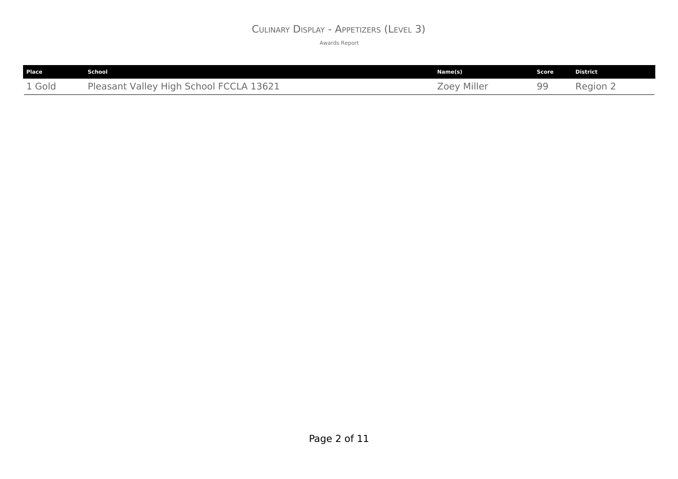#### CULINARY DISPLAY - APPETIZERS (LEVEL 3)

| Place  | School                                  | Name(s)     | Score | <b>District</b> |
|--------|-----------------------------------------|-------------|-------|-----------------|
| 1 Gold | Pleasant Valley High School FCCLA 13621 | Zoey Miller | 99    | Region 2        |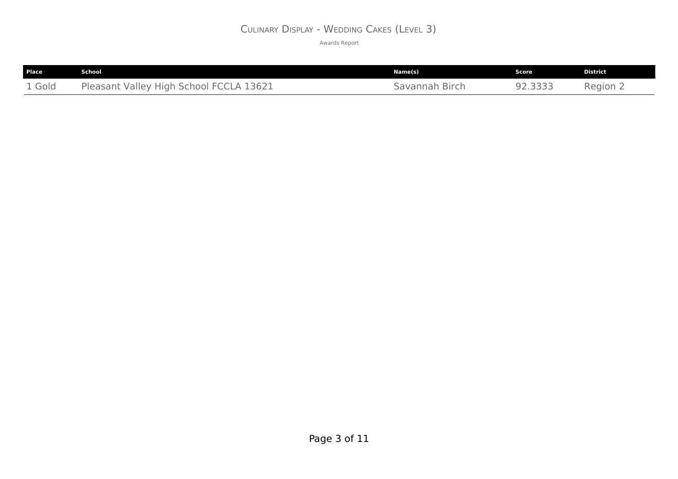#### CULINARY DISPLAY - WEDDING CAKES (LEVEL 3)

| Place  | School                                  | Name(s)        | . Score ' | <b>District</b>   |
|--------|-----------------------------------------|----------------|-----------|-------------------|
| 1 Gold | Pleasant Valley High School FCCLA 13621 | Savannah Birch | 92.3333   | Region $\epsilon$ |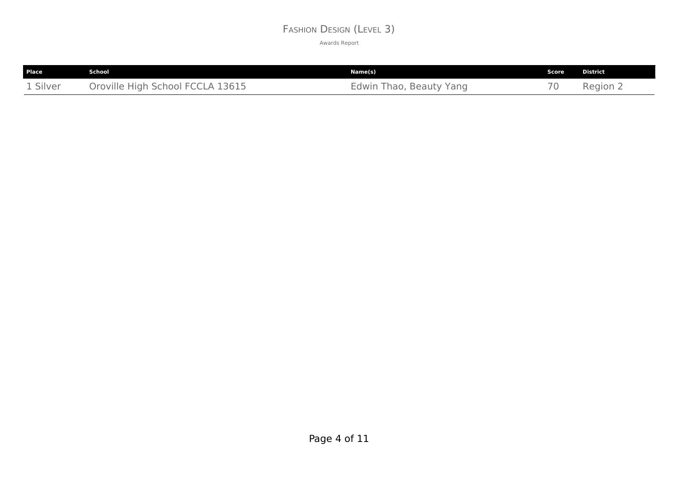#### FASHION DESIGN (LEVEL 3)

| <b>Place</b> | School                           | Name(s)                 | Score | District |
|--------------|----------------------------------|-------------------------|-------|----------|
| 1 Silver     | Oroville High School FCCLA 13615 | Edwin Thao, Beauty Yang |       | Region 2 |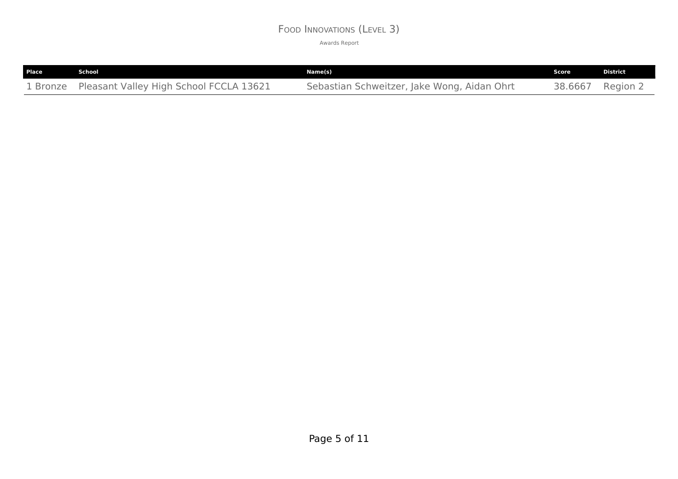#### FOOD INNOVATIONS (LEVEL 3)

| Place | School                                           | Name(s)                                     | Score   | <b>District</b> |
|-------|--------------------------------------------------|---------------------------------------------|---------|-----------------|
|       | 1 Bronze Pleasant Valley High School FCCLA 13621 | Sebastian Schweitzer, Jake Wong, Aidan Ohrt | 38.6667 | Region 2        |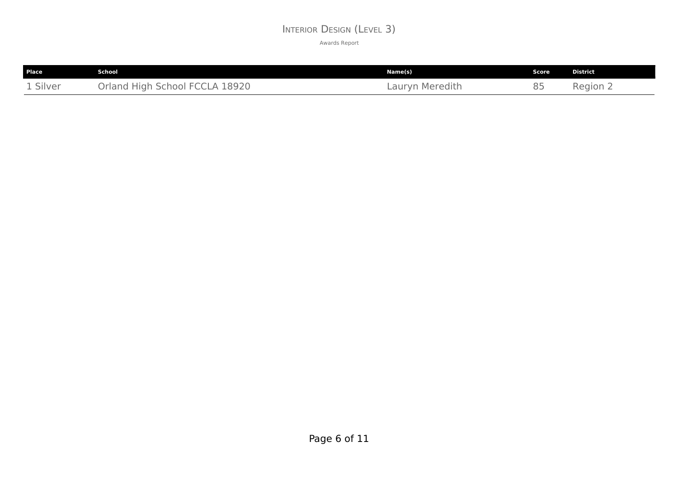#### INTERIOR DESIGN (LEVEL 3)

| <b>Place</b> | School                         | Name(s)         | <b>Score</b> | <b>District</b> |
|--------------|--------------------------------|-----------------|--------------|-----------------|
| 1 Silver     | Orland High School FCCLA 18920 | Lauryn Meredith | 85           | Region 2        |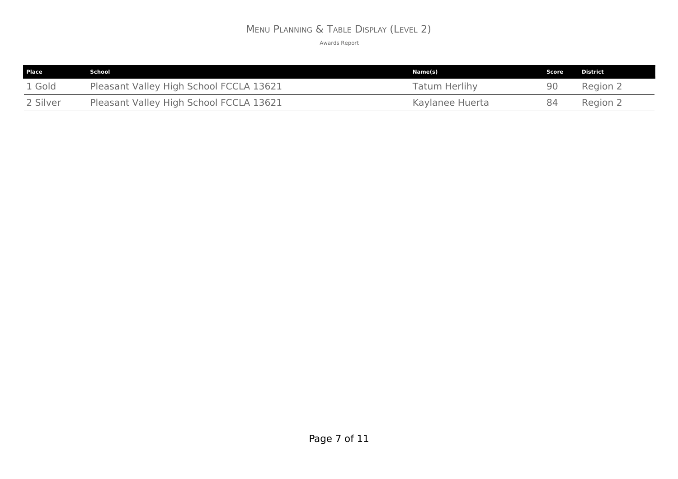# MENU PLANNING & TABLE DISPLAY (LEVEL 2)

| <b>Place</b> | School                                  | Name(s)              | Score | District |
|--------------|-----------------------------------------|----------------------|-------|----------|
| 1 Gold       | Pleasant Valley High School FCCLA 13621 | <b>Tatum Herlihy</b> | 90    | Region 2 |
| 2 Silver     | Pleasant Valley High School FCCLA 13621 | Kaylanee Huerta      | 84    | Region 2 |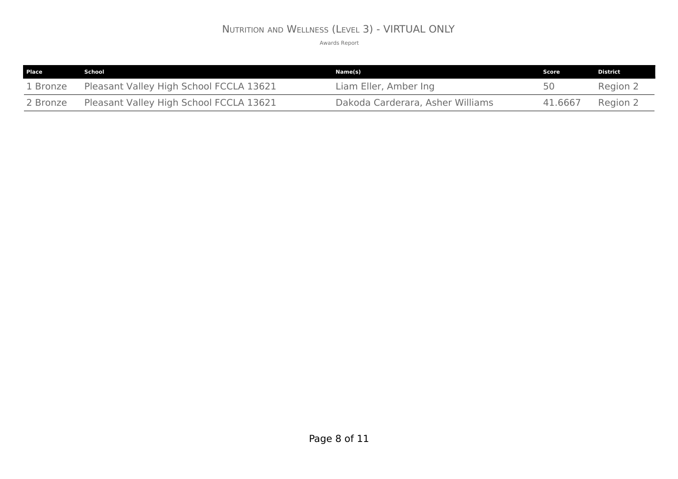## NUTRITION AND WELLNESS (LEVEL 3) - VIRTUAL ONLY

| Place    | School                                  | Name(s)                          | Score   | <b>District</b> |
|----------|-----------------------------------------|----------------------------------|---------|-----------------|
| 1 Bronze | Pleasant Valley High School FCCLA 13621 | Liam Eller, Amber Ing            | 50      | Region 2        |
| 2 Bronze | Pleasant Valley High School FCCLA 13621 | Dakoda Carderara, Asher Williams | 41.6667 | Region 2        |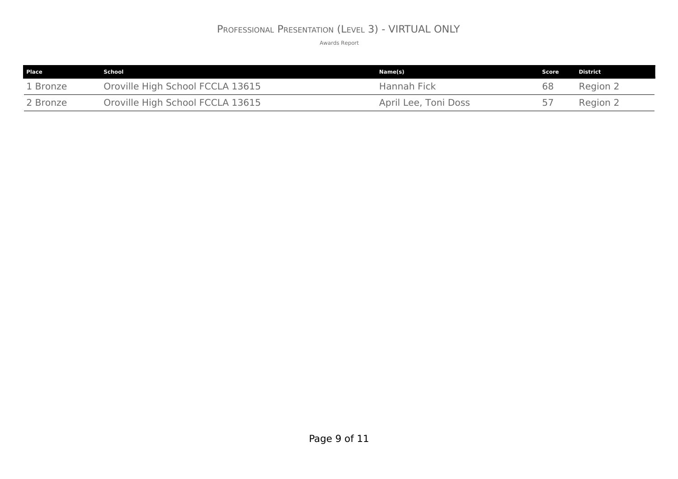## PROFESSIONAL PRESENTATION (LEVEL 3) - VIRTUAL ONLY

| <b>Place</b> | School                           | Name(s)              | Score <b>1</b> | District |
|--------------|----------------------------------|----------------------|----------------|----------|
| 1 Bronze     | Oroville High School FCCLA 13615 | Hannah Fick          | 68             | Region 2 |
| 2 Bronze     | Oroville High School FCCLA 13615 | April Lee, Toni Doss |                | Region 2 |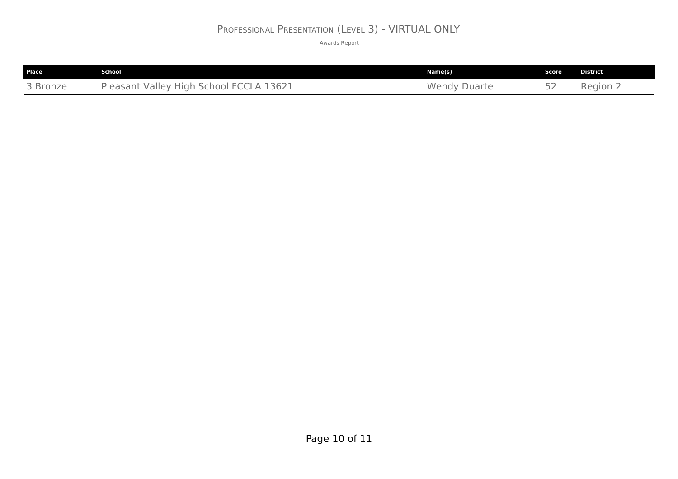# PROFESSIONAL PRESENTATION (LEVEL 3) - VIRTUAL ONLY

| <b>Place</b> | School                                  | Name(s)             | Score | District |
|--------------|-----------------------------------------|---------------------|-------|----------|
| 3 Bronze     | Pleasant Valley High School FCCLA 13621 | <b>Wendy Duarte</b> |       | Region 2 |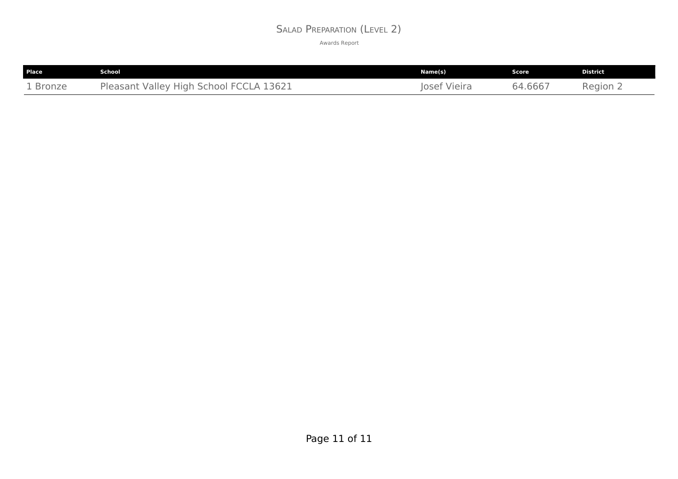#### SALAD PREPARATION (LEVEL 2)

| Place    | School                                  | Name(s)      | Score   | <b>District</b> |
|----------|-----------------------------------------|--------------|---------|-----------------|
| 1 Bronze | Pleasant Valley High School FCCLA 13621 | losef Vieira | 64.6667 | Region $\angle$ |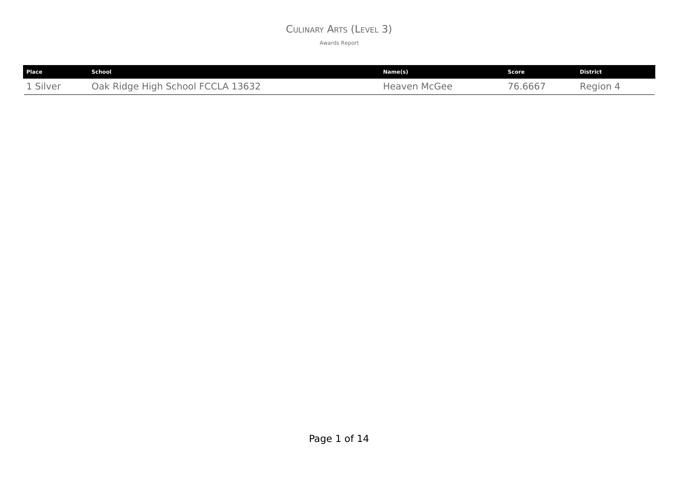#### CULINARY ARTS (LEVEL 3)

| <b>Place</b> | <b>School</b>                     | Name(s)             | Score   | <b>District</b> |
|--------------|-----------------------------------|---------------------|---------|-----------------|
| 1 Silver     | Oak Ridge High School FCCLA 13632 | <b>Heaven McGee</b> | 76.6667 | Region 4        |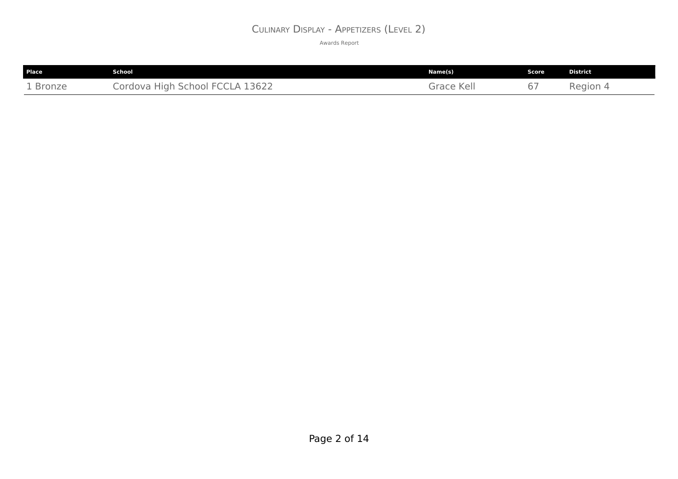#### CULINARY DISPLAY - APPETIZERS (LEVEL 2)

| <b>Place</b> | School                          | Name(s)    | Score | <b>District</b> |
|--------------|---------------------------------|------------|-------|-----------------|
| 1 Bronze     | Cordova High School FCCLA 13622 | Grace Kell | 67    | Region 4        |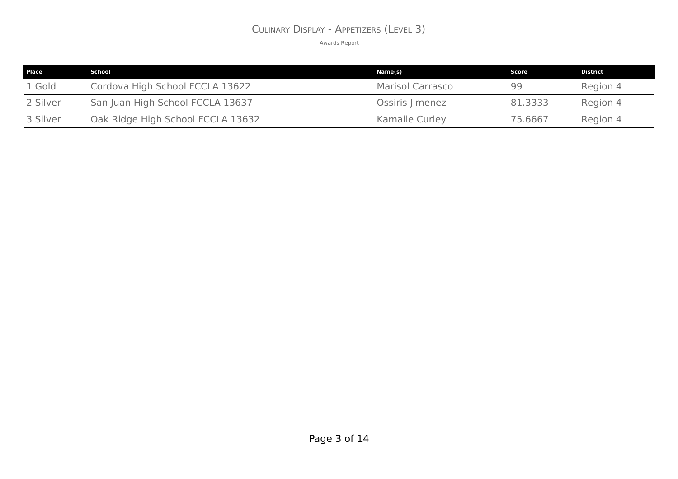#### CULINARY DISPLAY - APPETIZERS (LEVEL 3)

| <b>Place</b> | School                            | Name(s)          | Score   | <b>District</b> |
|--------------|-----------------------------------|------------------|---------|-----------------|
| 1 Gold       | Cordova High School FCCLA 13622   | Marisol Carrasco | 99      | Region 4        |
| 2 Silver     | San Juan High School FCCLA 13637  | Ossiris Jimenez  | 81.3333 | Region 4        |
| 3 Silver     | Oak Ridge High School FCCLA 13632 | Kamaile Curley   | 75,6667 | Region 4        |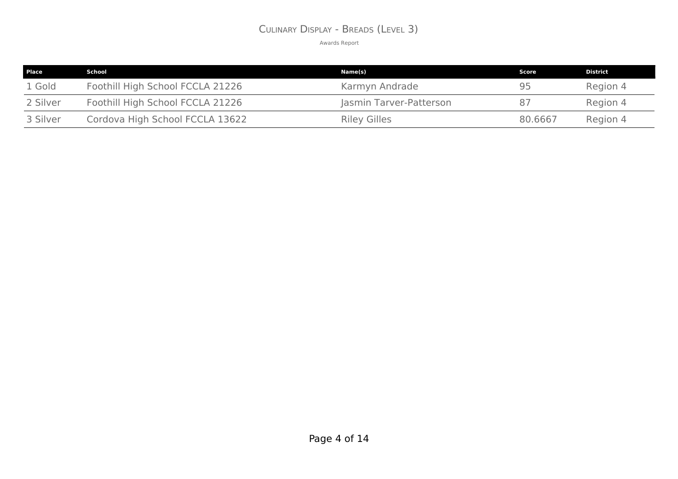#### CULINARY DISPLAY - BREADS (LEVEL 3)

| Place    | School                           | Name(s)                 | Score   | <b>District</b> |
|----------|----------------------------------|-------------------------|---------|-----------------|
| 1 Gold   | Foothill High School FCCLA 21226 | Karmyn Andrade          | 95      | Region 4        |
| 2 Silver | Foothill High School FCCLA 21226 | Jasmin Tarver-Patterson | 87      | Region 4        |
| 3 Silver | Cordova High School FCCLA 13622  | <b>Riley Gilles</b>     | 80.6667 | Region 4        |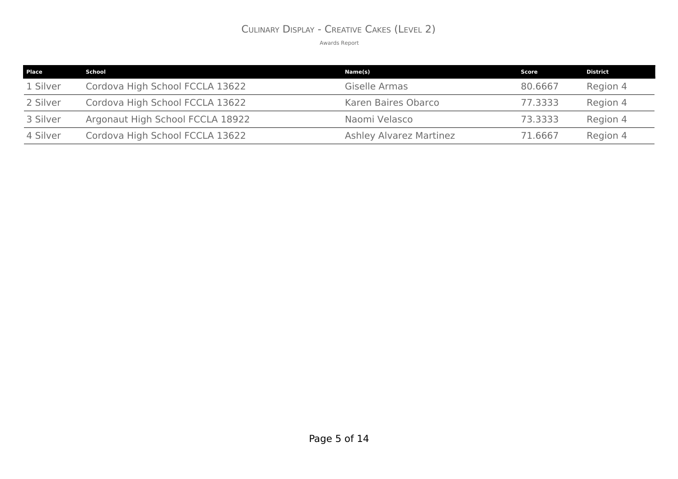#### CULINARY DISPLAY - CREATIVE CAKES (LEVEL 2)

| <b>Place</b> | School                           | Name(s)                        | Score   | <b>District</b> |
|--------------|----------------------------------|--------------------------------|---------|-----------------|
| 1 Silver     | Cordova High School FCCLA 13622  | Giselle Armas                  | 80,6667 | Region 4        |
| 2 Silver     | Cordova High School FCCLA 13622  | Karen Baires Obarco            | 77.3333 | Region 4        |
| 3 Silver     | Argonaut High School FCCLA 18922 | Naomi Velasco                  | 73.3333 | Region 4        |
| 4 Silver     | Cordova High School FCCLA 13622  | <b>Ashley Alvarez Martinez</b> | 71.6667 | Region 4        |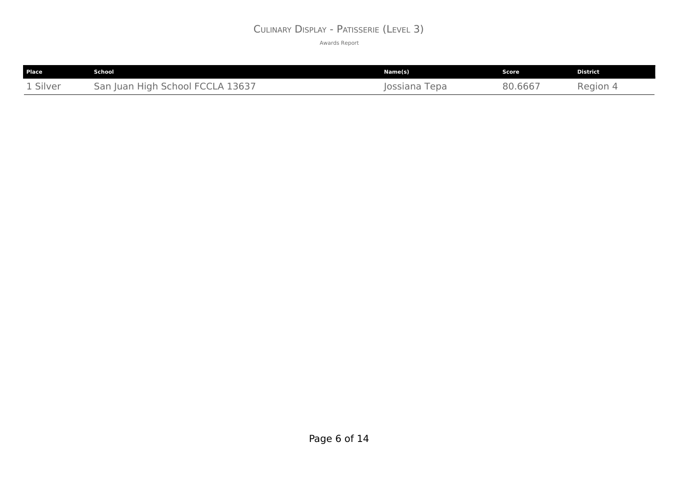#### CULINARY DISPLAY - PATISSERIE (LEVEL 3)

| Place                            | <b>School</b>                                                 | Name(s)                 | Score   | <b>District</b> |
|----------------------------------|---------------------------------------------------------------|-------------------------|---------|-----------------|
| $\sim$ $\sim$ $\sim$<br>1 Silver | 13637<br>. High<br>School<br>arد<br>. Iuar<br>- 1<br>$\Delta$ | epa<br>$-1000$<br>ossia | 30.6667 | Region          |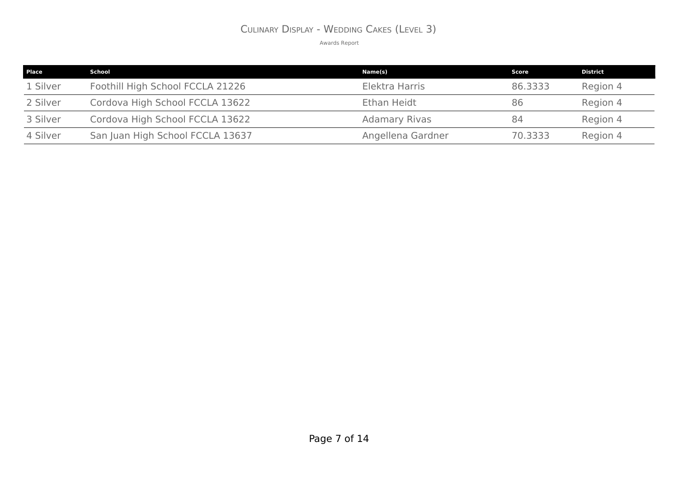#### CULINARY DISPLAY - WEDDING CAKES (LEVEL 3)

| <b>Place</b> | School                           | Name(s)              | Score   | <b>District</b> |
|--------------|----------------------------------|----------------------|---------|-----------------|
| 1 Silver     | Foothill High School FCCLA 21226 | Elektra Harris       | 86,3333 | Region 4        |
| 2 Silver     | Cordova High School FCCLA 13622  | Ethan Heidt          | 86      | Region 4        |
| 3 Silver     | Cordova High School FCCLA 13622  | <b>Adamary Rivas</b> | 84      | Region 4        |
| 4 Silver     | San Juan High School FCCLA 13637 | Angellena Gardner    | 70.3333 | Region 4        |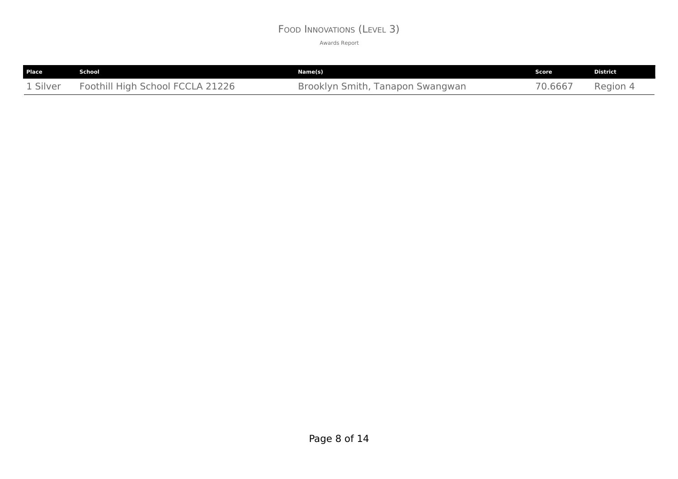#### FOOD INNOVATIONS (LEVEL 3)

| Place    | School                           | Name(s)                          | Score   | <b>District</b> |
|----------|----------------------------------|----------------------------------|---------|-----------------|
| 1 Silver | Foothill High School FCCLA 21226 | Brooklyn Smith, Tanapon Swangwan | 70.6667 | Region 4        |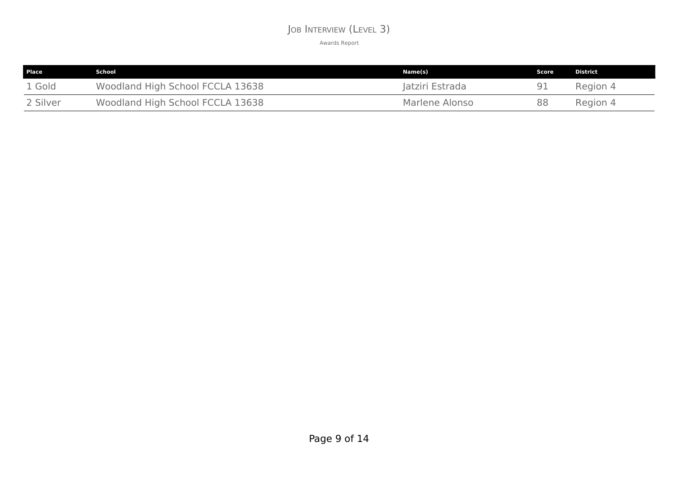#### JOB INTERVIEW (LEVEL 3)

| Place    | School                           | Name(s)         | Score | District |
|----------|----------------------------------|-----------------|-------|----------|
| 1 Gold   | Woodland High School FCCLA 13638 | Jatziri Estrada |       | Region 4 |
| 2 Silver | Woodland High School FCCLA 13638 | Marlene Alonso  | 88    | Region 4 |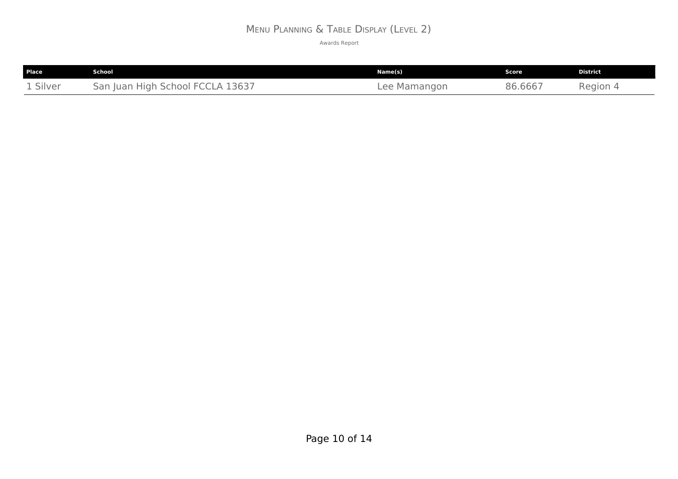# MENU PLANNING & TABLE DISPLAY (LEVEL 2)

| <b>Place</b> | School                           | Name(s)      | Score   | <b>District</b> |
|--------------|----------------------------------|--------------|---------|-----------------|
| 1 Silver     | San Juan High School FCCLA 13637 | Lee Mamangon | 86.6667 | Region 4        |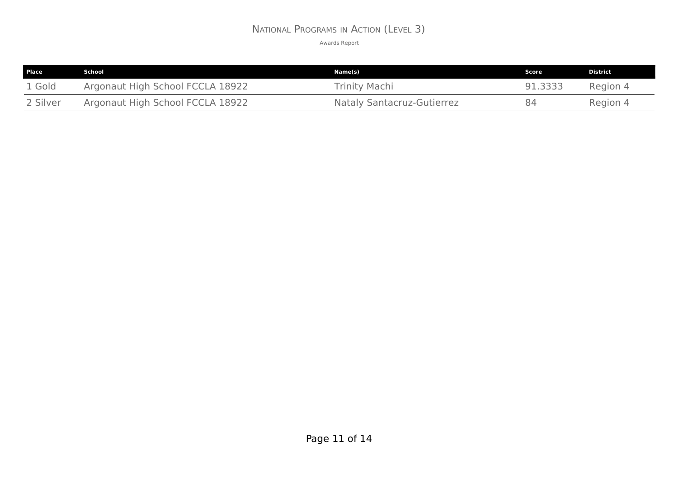#### NATIONAL PROGRAMS IN ACTION (LEVEL 3)

| Place    | School                           | Name(s)                           | .Score 1 | <b>District</b> |
|----------|----------------------------------|-----------------------------------|----------|-----------------|
| 1 Gold   | Argonaut High School FCCLA 18922 | <b>Trinity Machi</b>              | 91.3333  | Region 4        |
| 2 Silver | Argonaut High School FCCLA 18922 | <b>Nataly Santacruz-Gutierrez</b> | 84       | Region 4        |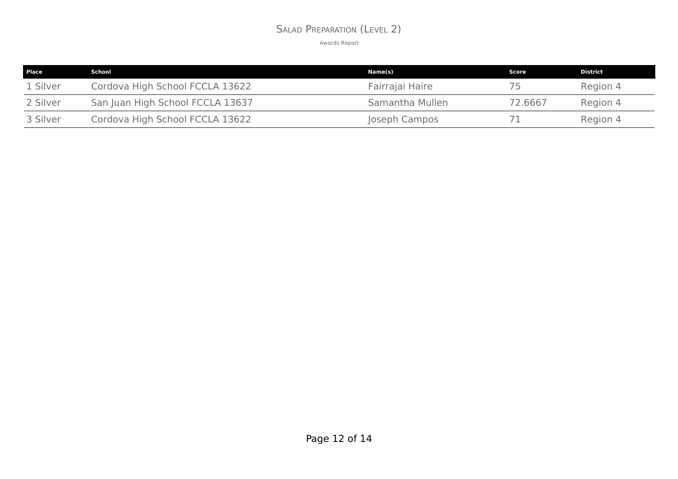#### SALAD PREPARATION (LEVEL 2)

| <b>Place</b> | School                           | Name(s)         | Score   | District |
|--------------|----------------------------------|-----------------|---------|----------|
| 1 Silver     | Cordova High School FCCLA 13622  | Fairrajai Haire | ל /     | Region 4 |
| 2 Silver     | San Juan High School FCCLA 13637 | Samantha Mullen | 72.6667 | Region 4 |
| 3 Silver     | Cordova High School FCCLA 13622  | Joseph Campos   |         | Region 4 |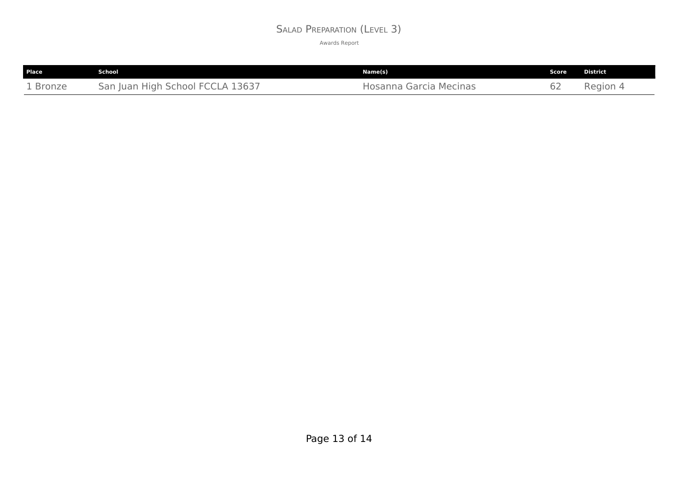#### SALAD PREPARATION (LEVEL 3)

| Place    | School                           | Name(s)                | <b>Score</b> | <b>District</b> |
|----------|----------------------------------|------------------------|--------------|-----------------|
| 1 Bronze | San Juan High School FCCLA 13637 | Hosanna Garcia Mecinas | 62           | Region 4        |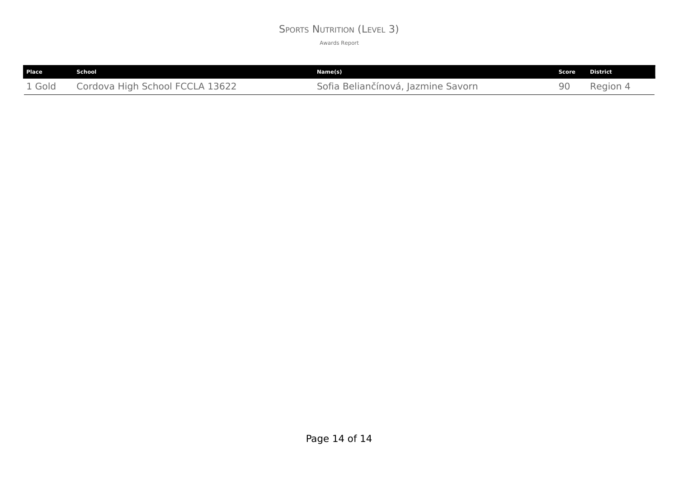#### SPORTS NUTRITION (LEVEL 3)

| <b>Place</b> | . School                        | Name(s)                            | Score | District |
|--------------|---------------------------------|------------------------------------|-------|----------|
| 1 Gold       | Cordova High School FCCLA 13622 | Sofia Beliančínová, Jazmine Savorn | 90    | Region 4 |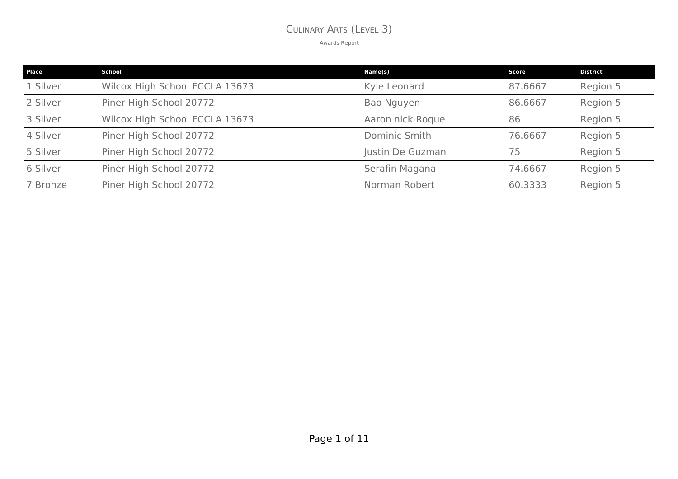#### CULINARY ARTS (LEVEL 3)

| Place    | <b>School</b>                  | Name(s)          | Score   | <b>District</b> |
|----------|--------------------------------|------------------|---------|-----------------|
| 1 Silver | Wilcox High School FCCLA 13673 | Kyle Leonard     | 87.6667 | Region 5        |
| 2 Silver | Piner High School 20772        | Bao Nguyen       | 86.6667 | Region 5        |
| 3 Silver | Wilcox High School FCCLA 13673 | Aaron nick Roque | 86      | Region 5        |
| 4 Silver | Piner High School 20772        | Dominic Smith    | 76.6667 | Region 5        |
| 5 Silver | Piner High School 20772        | Justin De Guzman | 75      | Region 5        |
| 6 Silver | Piner High School 20772        | Serafin Magana   | 74.6667 | Region 5        |
| 7 Bronze | Piner High School 20772        | Norman Robert    | 60.3333 | Region 5        |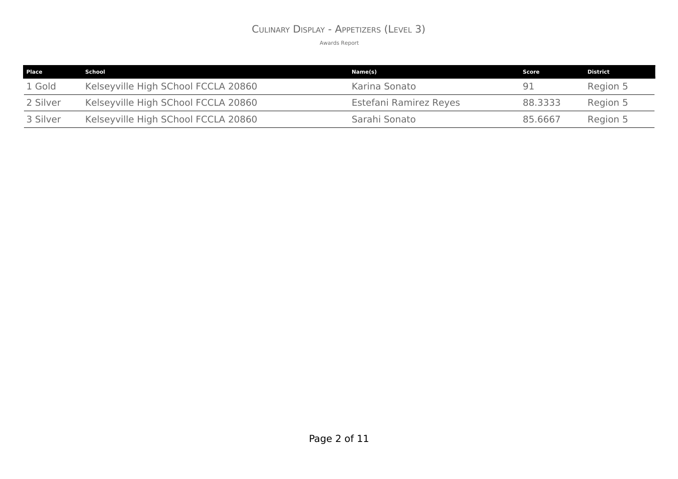#### CULINARY DISPLAY - APPETIZERS (LEVEL 3)

| <b>Place</b> | School                              | Name(s)                | Score   | District |
|--------------|-------------------------------------|------------------------|---------|----------|
| 1 Gold       | Kelseyville High SChool FCCLA 20860 | Karina Sonato          | 91      | Region 5 |
| 2 Silver     | Kelseyville High SChool FCCLA 20860 | Estefani Ramirez Reyes | 88.3333 | Region 5 |
| 3 Silver     | Kelseyville High SChool FCCLA 20860 | Sarahi Sonato          | 85.6667 | Region 5 |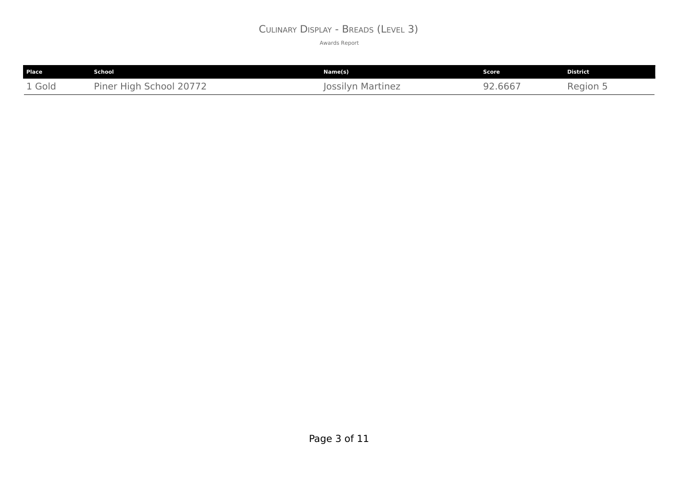#### CULINARY DISPLAY - BREADS (LEVEL 3)

| Place  | School                  | Name(s)           | <b>Score</b> | <b>District</b>        |
|--------|-------------------------|-------------------|--------------|------------------------|
| 1 Gold | Piner High School 20772 | Jossilyn Martinez | 92.6667      | Region $\mathsf{\cup}$ |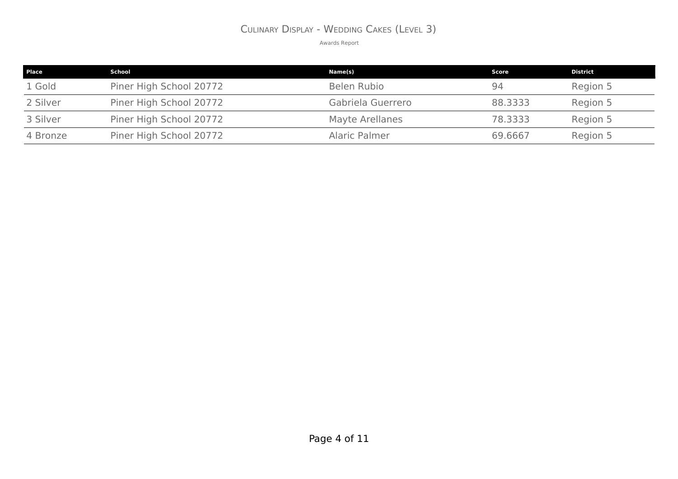#### CULINARY DISPLAY - WEDDING CAKES (LEVEL 3)

| Place    | School                  | Name(s)                | Score   | <b>District</b> |
|----------|-------------------------|------------------------|---------|-----------------|
| 1 Gold   | Piner High School 20772 | Belen Rubio            | 94      | Region 5        |
| 2 Silver | Piner High School 20772 | Gabriela Guerrero      | 88,3333 | Region 5        |
| 3 Silver | Piner High School 20772 | <b>Mayte Arellanes</b> | 78.3333 | Region 5        |
| 4 Bronze | Piner High School 20772 | Alaric Palmer          | 69,6667 | Region 5        |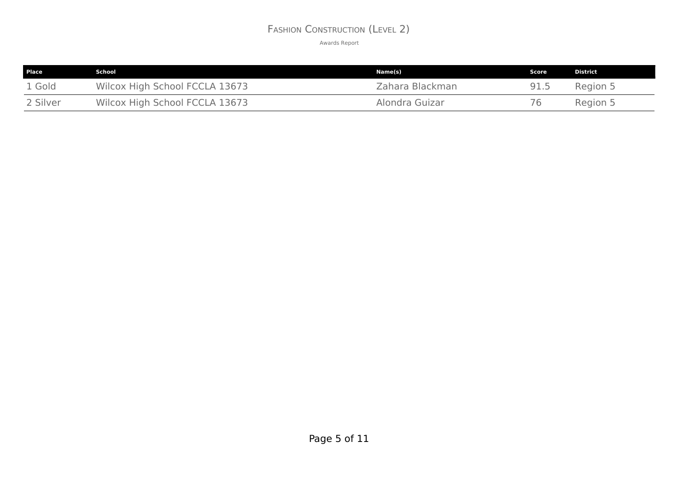#### FASHION CONSTRUCTION (LEVEL 2)

| <b>Place</b> | School                         | Name(s)         | <b>Score</b> | <b>District</b> |
|--------------|--------------------------------|-----------------|--------------|-----------------|
| 1 Gold       | Wilcox High School FCCLA 13673 | Zahara Blackman | 91.5         | Region 5        |
| 2 Silver     | Wilcox High School FCCLA 13673 | Alondra Guizar  | 76           | Region 5        |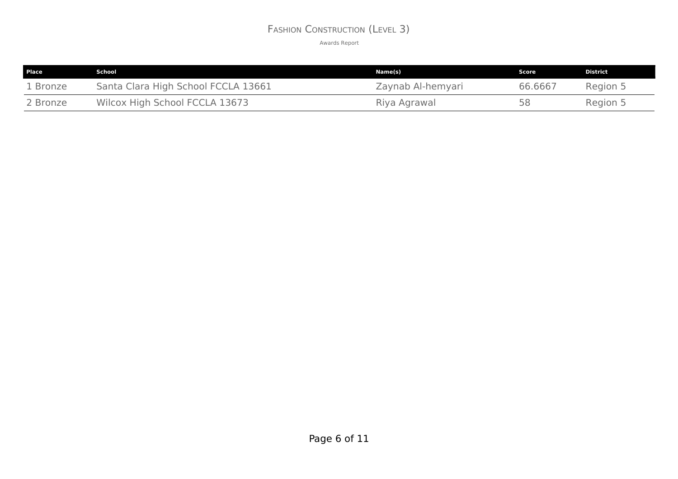#### FASHION CONSTRUCTION (LEVEL 3)

| <b>Place</b> | School                              | Name(s)           | Score   | District |
|--------------|-------------------------------------|-------------------|---------|----------|
| 1 Bronze     | Santa Clara High School FCCLA 13661 | Zaynab Al-hemyari | 66.6667 | Region 5 |
| 2 Bronze     | Wilcox High School FCCLA 13673      | Riya Agrawal      | 58      | Region 5 |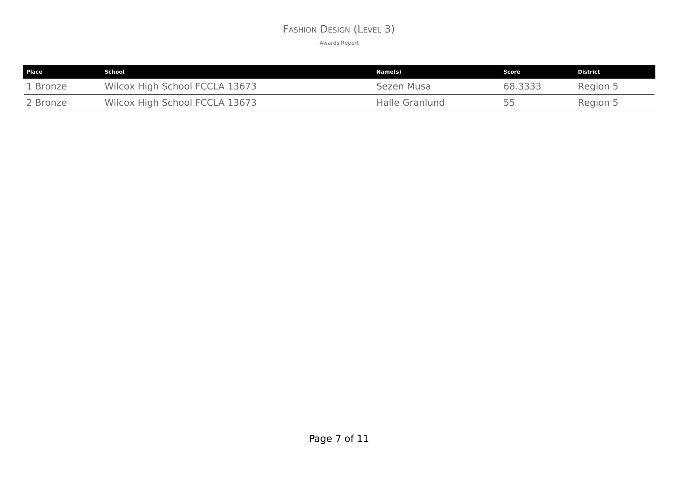#### FASHION DESIGN (LEVEL 3)

| Place    | School                         | Name(s)        | Score   | <b>District</b> |
|----------|--------------------------------|----------------|---------|-----------------|
| 1 Bronze | Wilcox High School FCCLA 13673 | Sezen Musa     | 68.3333 | Region 5        |
| 2 Bronze | Wilcox High School FCCLA 13673 | Halle Granlund | 55      | Region 5        |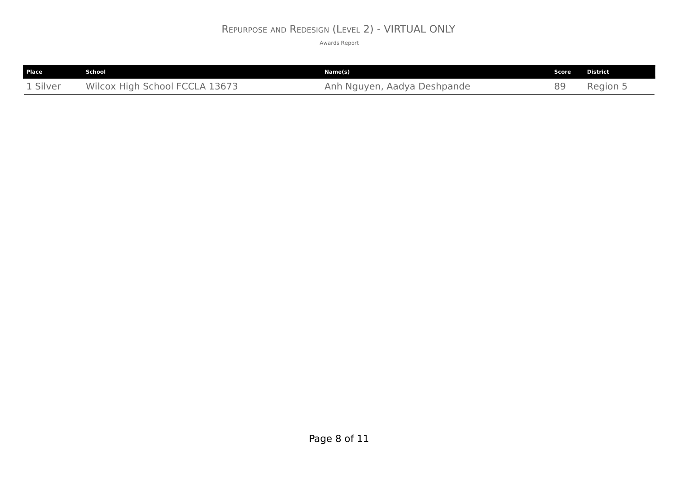#### REPURPOSE AND REDESIGN (LEVEL 2) - VIRTUAL ONLY

| Place    | School                         | Name(s)                     | <b>Score</b> | <b>District</b> |
|----------|--------------------------------|-----------------------------|--------------|-----------------|
| 1 Silver | Wilcox High School FCCLA 13673 | Anh Nguyen, Aadya Deshpande | 89           | Region 5        |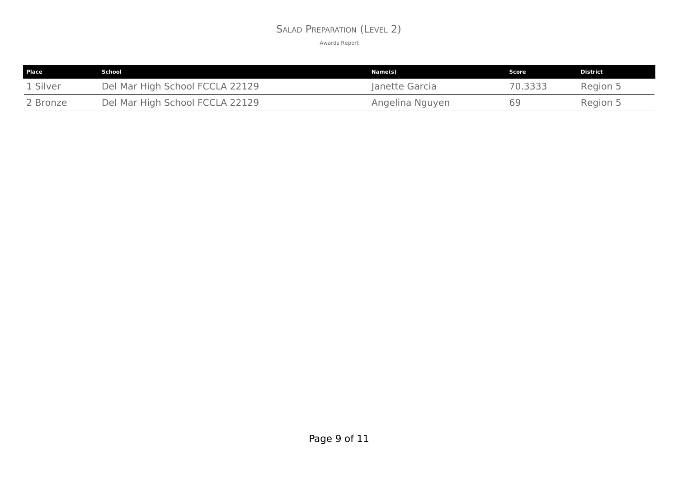#### SALAD PREPARATION (LEVEL 2)

| Place    | School                          | Name(s)         | Score   | District |
|----------|---------------------------------|-----------------|---------|----------|
| 1 Silver | Del Mar High School FCCLA 22129 | Janette Garcia  | 70.3333 | Region 5 |
| 2 Bronze | Del Mar High School FCCLA 22129 | Angelina Nguyen | 69      | Region 5 |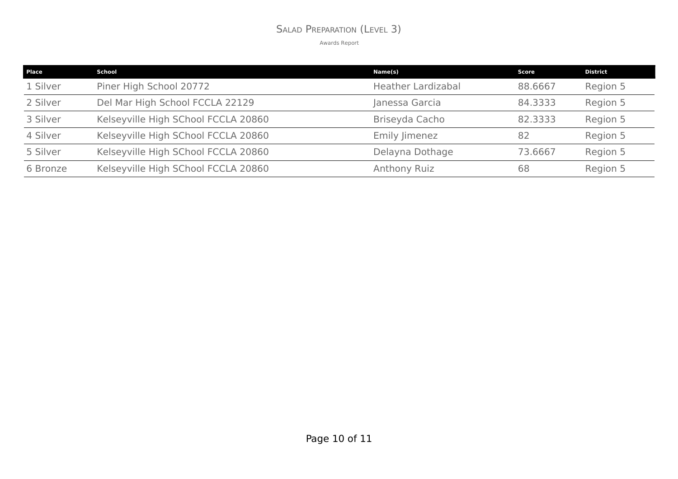#### SALAD PREPARATION (LEVEL 3)

| Place    | School                              | Name(s)                   | Score   | <b>District</b> |
|----------|-------------------------------------|---------------------------|---------|-----------------|
| 1 Silver | Piner High School 20772             | <b>Heather Lardizabal</b> | 88,6667 | Region 5        |
| 2 Silver | Del Mar High School FCCLA 22129     | Janessa Garcia            | 84.3333 | Region 5        |
| 3 Silver | Kelseyville High SChool FCCLA 20860 | Briseyda Cacho            | 82.3333 | Region 5        |
| 4 Silver | Kelseyville High SChool FCCLA 20860 | Emily Jimenez             | 82      | Region 5        |
| 5 Silver | Kelseyville High SChool FCCLA 20860 | Delayna Dothage           | 73.6667 | Region 5        |
| 6 Bronze | Kelseyville High SChool FCCLA 20860 | Anthony Ruiz              | 68      | Region 5        |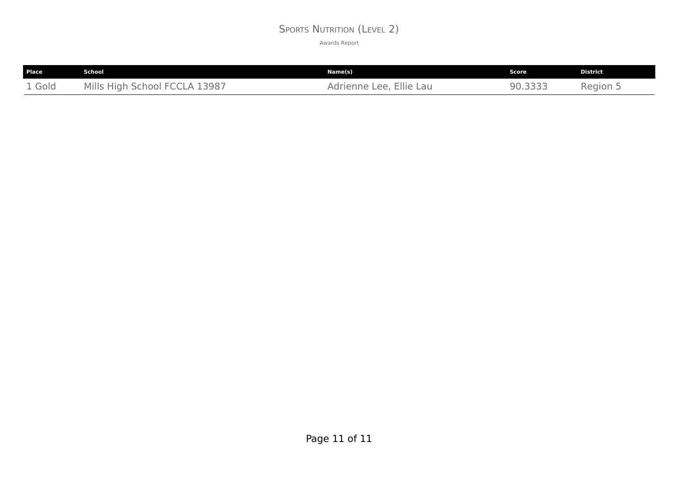#### SPORTS NUTRITION (LEVEL 2)

| <b>Place</b> | School                        | Name(s)                 | Score   | <b>District</b> |
|--------------|-------------------------------|-------------------------|---------|-----------------|
| 1 Gold       | Mills High School FCCLA 13987 | Adrienne Lee, Ellie Lau | 90.3333 | Region 5        |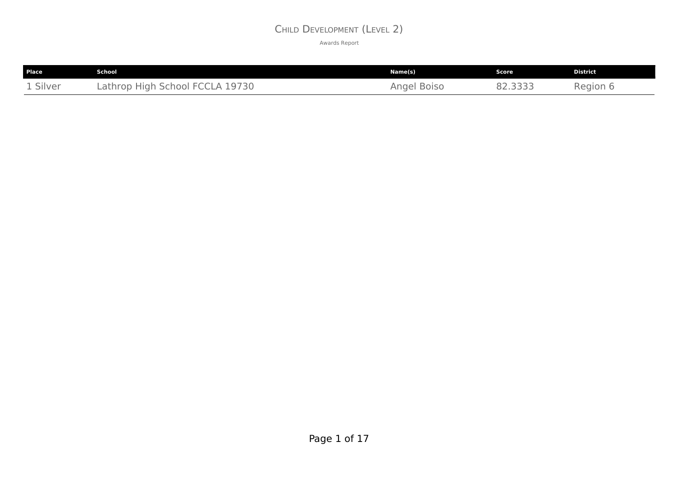#### CHILD DEVELOPMENT (LEVEL 2)

| <b>Place</b> | School                          | Name(s)     | Score   | <b>District</b> |
|--------------|---------------------------------|-------------|---------|-----------------|
| 1 Silver     | Lathrop High School FCCLA 19730 | Angel Boiso | 82.3333 | Region 6        |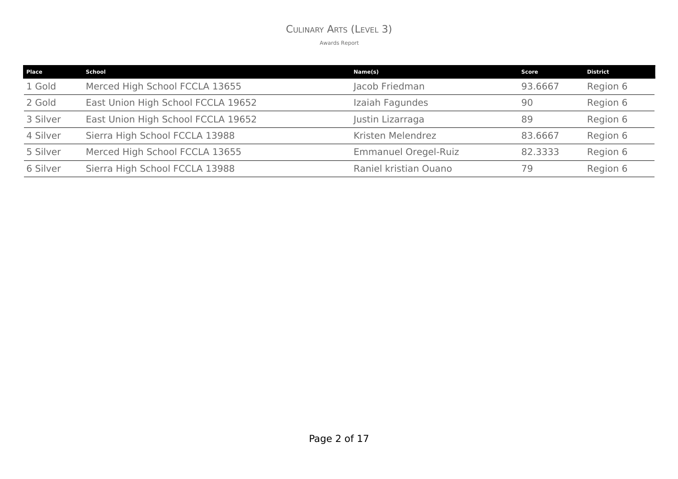#### CULINARY ARTS (LEVEL 3)

| <b>Place</b> | School                             | Name(s)                     | Score   | <b>District</b> |
|--------------|------------------------------------|-----------------------------|---------|-----------------|
| 1 Gold       | Merced High School FCCLA 13655     | Jacob Friedman              | 93.6667 | Region 6        |
| 2 Gold       | East Union High School FCCLA 19652 | Izaiah Fagundes             | 90      | Region 6        |
| 3 Silver     | East Union High School FCCLA 19652 | Justin Lizarraga            | 89      | Region 6        |
| 4 Silver     | Sierra High School FCCLA 13988     | Kristen Melendrez           | 83.6667 | Region 6        |
| 5 Silver     | Merced High School FCCLA 13655     | <b>Emmanuel Oregel-Ruiz</b> | 82.3333 | Region 6        |
| 6 Silver     | Sierra High School FCCLA 13988     | Raniel kristian Ouano       | 79      | Region 6        |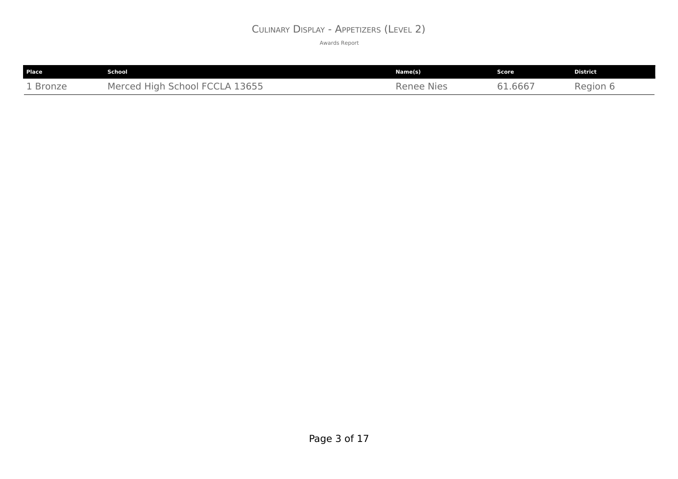#### CULINARY DISPLAY - APPETIZERS (LEVEL 2)

| Place    | School                         | Name(s)           | Score   | <b>District</b> |
|----------|--------------------------------|-------------------|---------|-----------------|
| 1 Bronze | Merced High School FCCLA 13655 | <b>Renee Nies</b> | 61.6667 | Region 6        |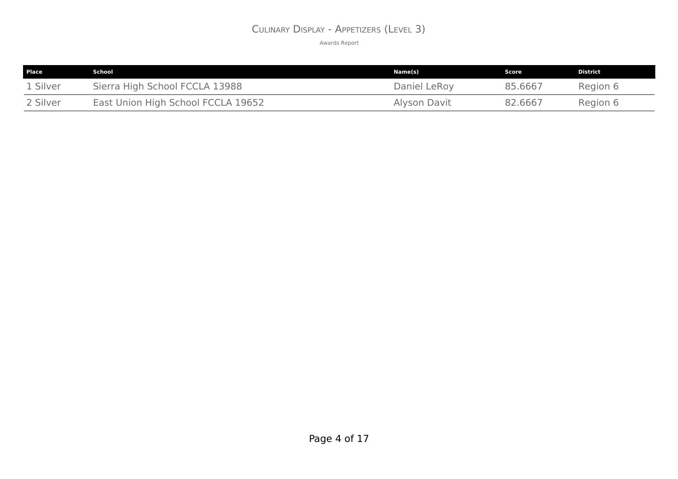#### CULINARY DISPLAY - APPETIZERS (LEVEL 3)

| <b>Place</b> | School                             | Name(s)      | Score   | <b>District</b> |
|--------------|------------------------------------|--------------|---------|-----------------|
| 1 Silver     | Sierra High School FCCLA 13988     | Daniel LeRoy | 85.6667 | Region 6        |
| 2 Silver     | East Union High School FCCLA 19652 | Alyson Davit | 82.6667 | Region 6        |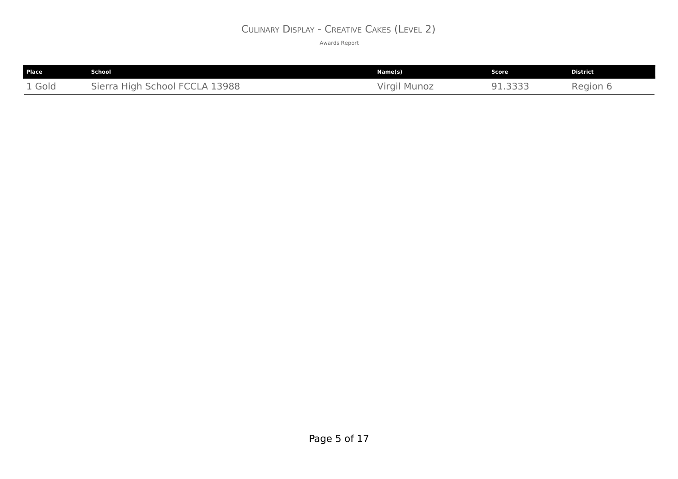#### CULINARY DISPLAY - CREATIVE CAKES (LEVEL 2)

| Place  | School                         | Name(s)      | Score  | <b>District</b> |
|--------|--------------------------------|--------------|--------|-----------------|
| 1 Gold | Sierra High School FCCLA 13988 | Virgil Munoz | 1.3333 | Region 6        |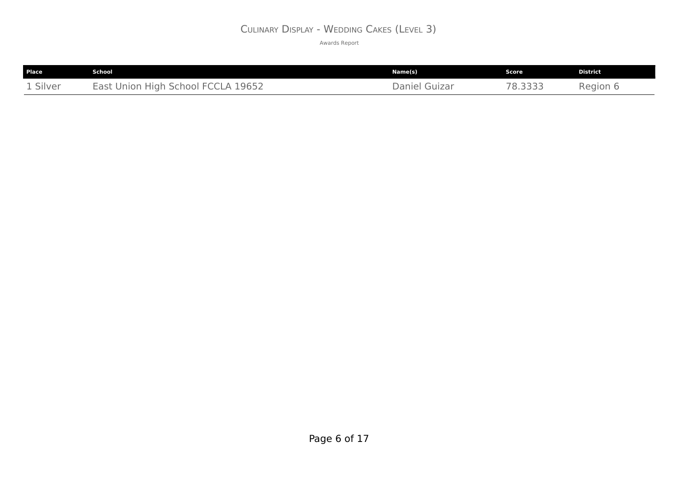#### CULINARY DISPLAY - WEDDING CAKES (LEVEL 3)

| Place                            | School                                               | Name(s)          | Score            | <b>District</b> |
|----------------------------------|------------------------------------------------------|------------------|------------------|-----------------|
| $\sim$ $\sim$ $\sim$<br>1 Silver | <b>FCCLA 19652</b><br>East<br>. High School<br>Union | Daniel<br>Guizar | つつつつ<br><u>.</u> | Region 6        |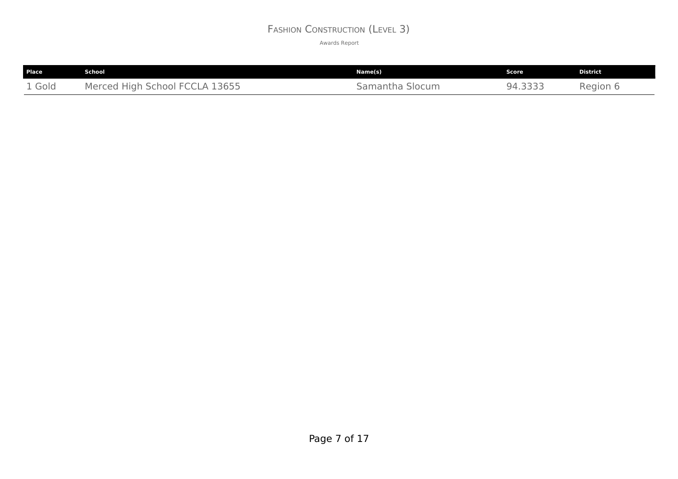#### FASHION CONSTRUCTION (LEVEL 3)

| <b>Place</b> | School                         | Name(s)         | Score   | <b>District</b> |
|--------------|--------------------------------|-----------------|---------|-----------------|
| 1 Gold       | Merced High School FCCLA 13655 | Samantha Slocum | 94.3333 | Region 6        |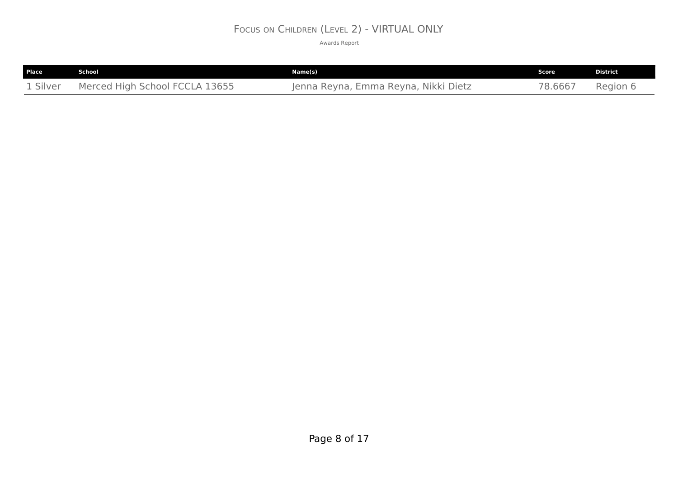#### FOCUS ON CHILDREN (LEVEL 2) - VIRTUAL ONLY

| <b>Place</b> | School                         | Name(s)                                    | Score  | <b>District</b> |
|--------------|--------------------------------|--------------------------------------------|--------|-----------------|
| 1 Silver     | Merced High School FCCLA 13655 | ı, Emma Reyna, Nikki Dietz<br>Jenna Revna. | 8.6667 | Region 6        |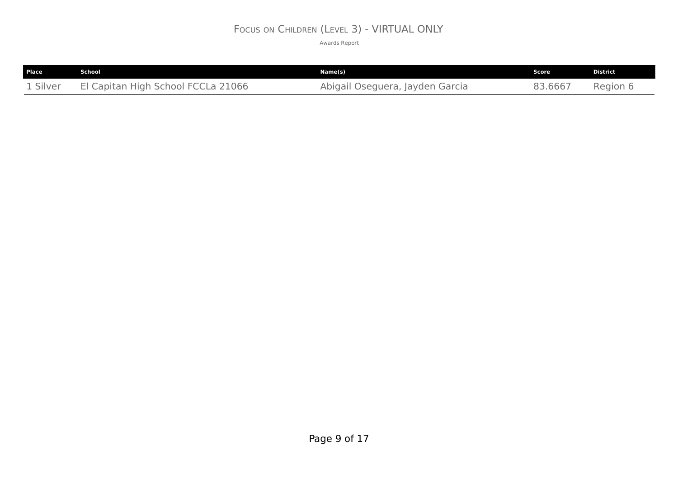## FOCUS ON CHILDREN (LEVEL 3) - VIRTUAL ONLY

| Place    | School                             | Name(s)                         | Score   | <b>District</b> |
|----------|------------------------------------|---------------------------------|---------|-----------------|
| 1 Silver | El Capitan High School FCCLa 21066 | Abigail Oseguera, Jayden Garcia | 33.6667 | Region 6        |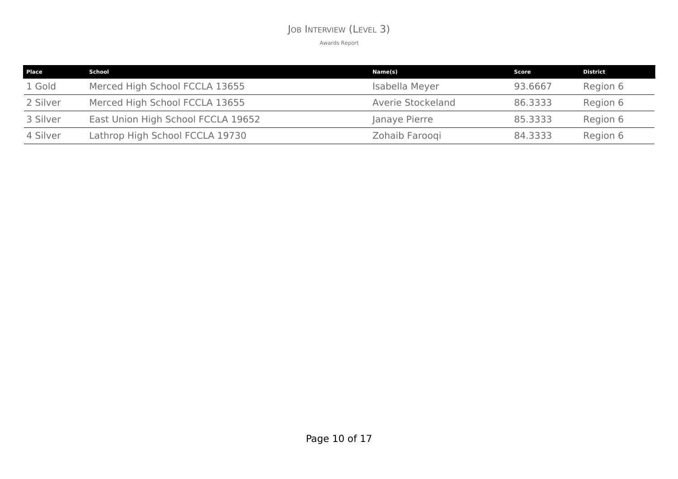#### JOB INTERVIEW (LEVEL 3)

| <b>Place</b> | School                             | Name(s)           | Score   | <b>District</b> |
|--------------|------------------------------------|-------------------|---------|-----------------|
| 1 Gold       | Merced High School FCCLA 13655     | Isabella Meyer    | 93.6667 | Region 6        |
| 2 Silver     | Merced High School FCCLA 13655     | Averie Stockeland | 86.3333 | Region 6        |
| 3 Silver     | East Union High School FCCLA 19652 | Janaye Pierre     | 85,3333 | Region 6        |
| 4 Silver     | Lathrop High School FCCLA 19730    | Zohaib Farooqi    | 84.3333 | Region 6        |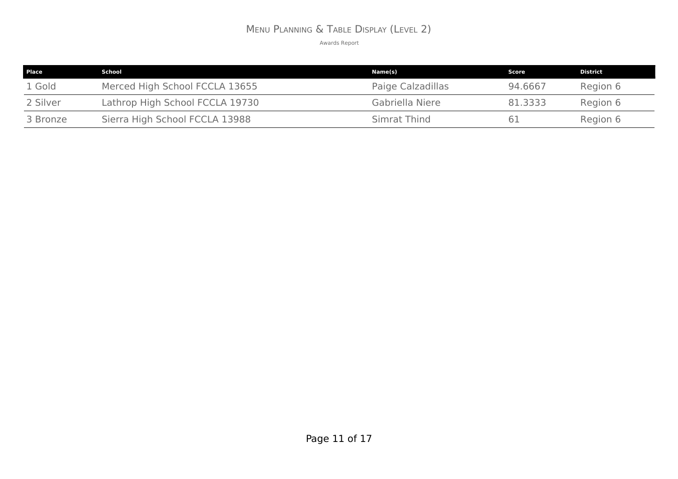# MENU PLANNING & TABLE DISPLAY (LEVEL 2)

| Place    | School                          | Name(s)           | Score   | District |
|----------|---------------------------------|-------------------|---------|----------|
| 1 Gold   | Merced High School FCCLA 13655  | Paige Calzadillas | 94.6667 | Region 6 |
| 2 Silver | Lathrop High School FCCLA 19730 | Gabriella Niere   | 81,3333 | Region 6 |
| 3 Bronze | Sierra High School FCCLA 13988  | Simrat Thind      |         | Region 6 |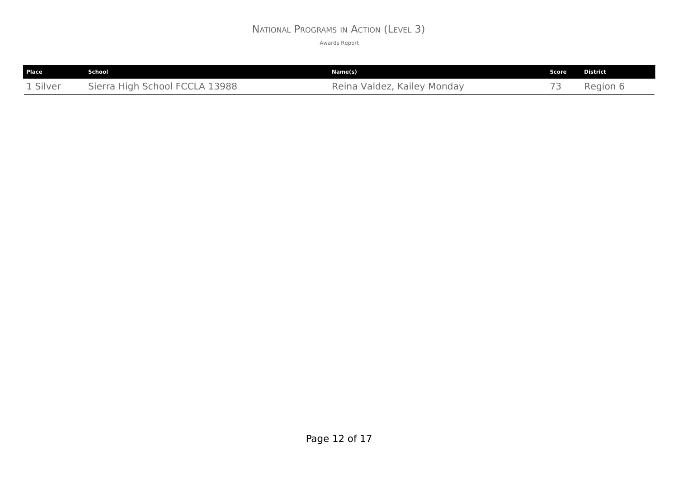#### NATIONAL PROGRAMS IN ACTION (LEVEL 3)

| Place    | School                         | Name(s)                     | Score                    | <b>District</b> |
|----------|--------------------------------|-----------------------------|--------------------------|-----------------|
| 1 Silver | Sierra High School FCCLA 13988 | Reina Valdez, Kailey Monday | $\overline{\phantom{a}}$ | Region 6        |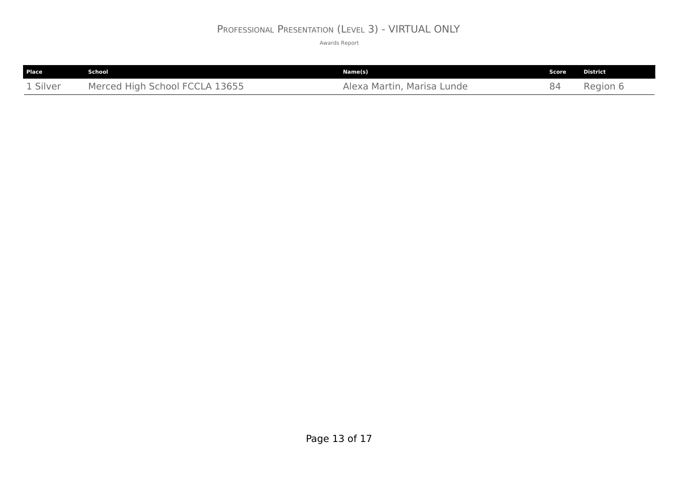## PROFESSIONAL PRESENTATION (LEVEL 3) - VIRTUAL ONLY

| Place    | School                         | Name(s)                    | Score | <b>District</b> |
|----------|--------------------------------|----------------------------|-------|-----------------|
| 1 Silver | Merced High School FCCLA 13655 | Alexa Martin, Marisa Lunde | 84    | Region 6        |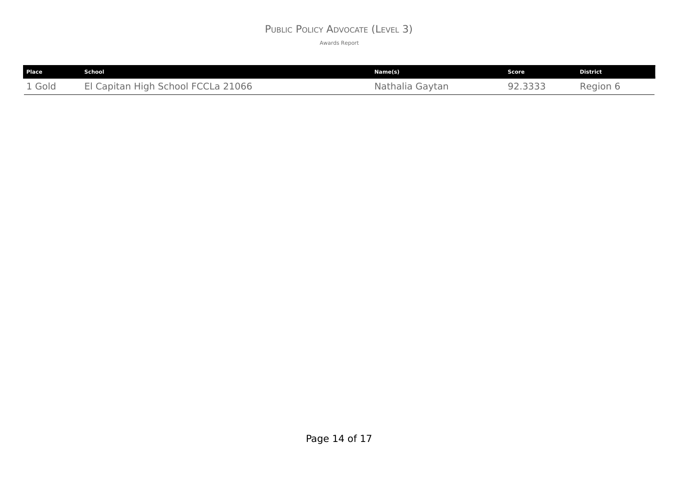#### PUBLIC POLICY ADVOCATE (LEVEL 3)

| <b>Place</b> | School                             | Name(s)         | Score   | <b>District</b> |
|--------------|------------------------------------|-----------------|---------|-----------------|
| 1 Gold       | El Capitan High School FCCLa 21066 | Nathalia Gaytan | 92.3333 | Region 6        |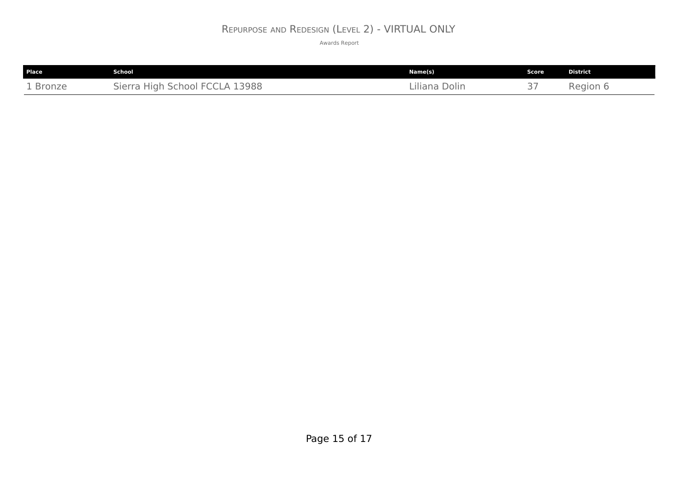#### REPURPOSE AND REDESIGN (LEVEL 2) - VIRTUAL ONLY

| <b>Place</b> | School                                                                                       | Name(s)            | <b>Score</b>                        | <b>District</b> |
|--------------|----------------------------------------------------------------------------------------------|--------------------|-------------------------------------|-----------------|
| 1 Bronze     | 13988<br>School FC<br>SPTZ<br><b>High</b><br>$\left( \begin{array}{c} 1 \end{array} \right)$ | Dolin<br>Liliana - | $\sim$ $-$<br>$\tilde{\phantom{a}}$ | Region 6        |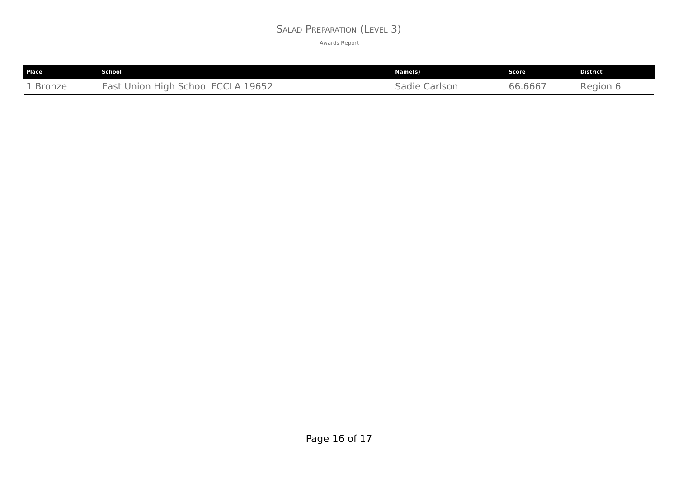#### SALAD PREPARATION (LEVEL 3)

| Place    | School                                                 | Name(s)          | Score   | <b>District</b> |
|----------|--------------------------------------------------------|------------------|---------|-----------------|
| 1 Bronze | 19652<br><b>High School FCCLA 1</b><br>East<br>. Union | Carlson<br>Sadie | 66.6667 | Region 6        |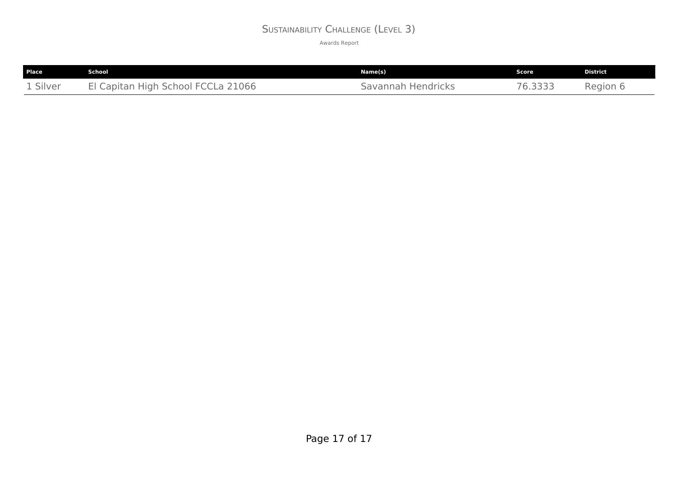#### SUSTAINABILITY CHALLENGE (LEVEL 3)

| <b>Place</b> | School                             | Name(s)            | Score : | <b>District</b> |
|--------------|------------------------------------|--------------------|---------|-----------------|
| 1 Silver     | El Capitan High School FCCLa 21066 | Savannah Hendricks | 6.3333  | Region 6        |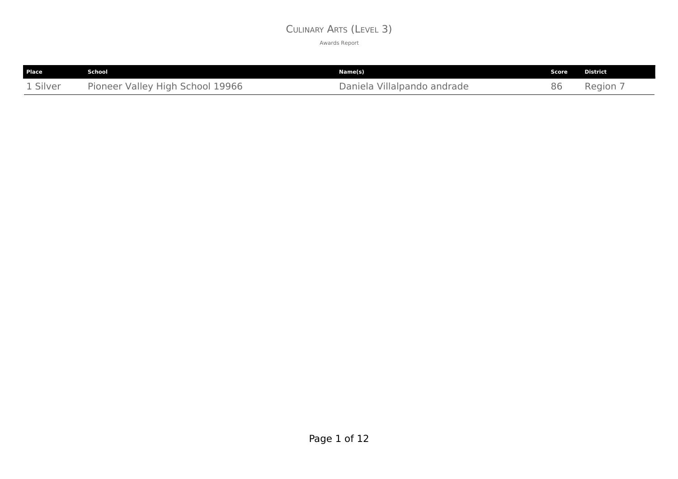#### CULINARY ARTS (LEVEL 3)

| Place    | School                           | Name(s)                     | Score | <b>District</b> |
|----------|----------------------------------|-----------------------------|-------|-----------------|
| 1 Silver | Pioneer Valley High School 19966 | Daniela Villalpando andrade | 86    | Region,         |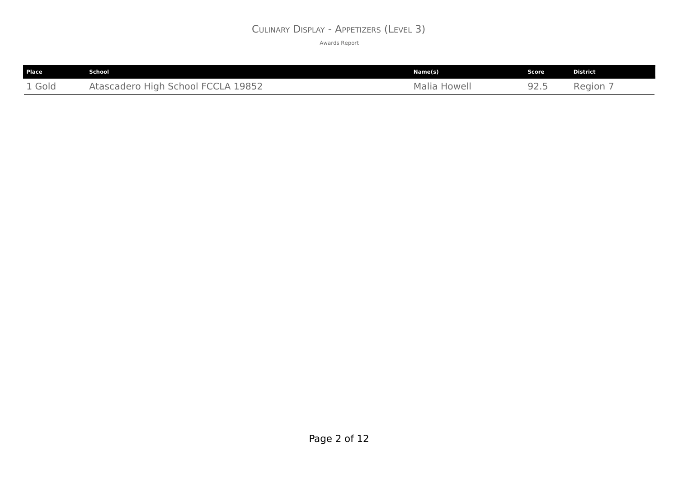#### CULINARY DISPLAY - APPETIZERS (LEVEL 3)

| <b>Place</b> | School                             | Name(s)      | Score | <b>District</b> |
|--------------|------------------------------------|--------------|-------|-----------------|
| 1 Gold       | Atascadero High School FCCLA 19852 | Malia Howell | 92.5  | Region;         |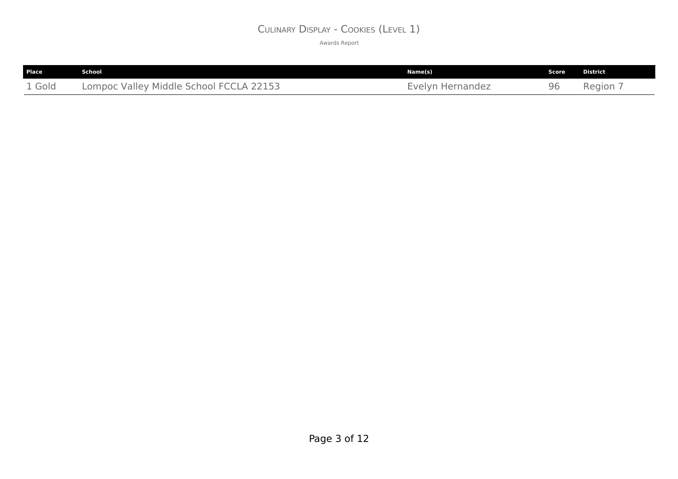#### CULINARY DISPLAY - COOKIES (LEVEL 1)

| Place  | School                                  | Name(s)          | Score | District |
|--------|-----------------------------------------|------------------|-------|----------|
| 1 Gold | Lompoc Valley Middle School FCCLA 22153 | Evelyn Hernandez | 96    | Region 7 |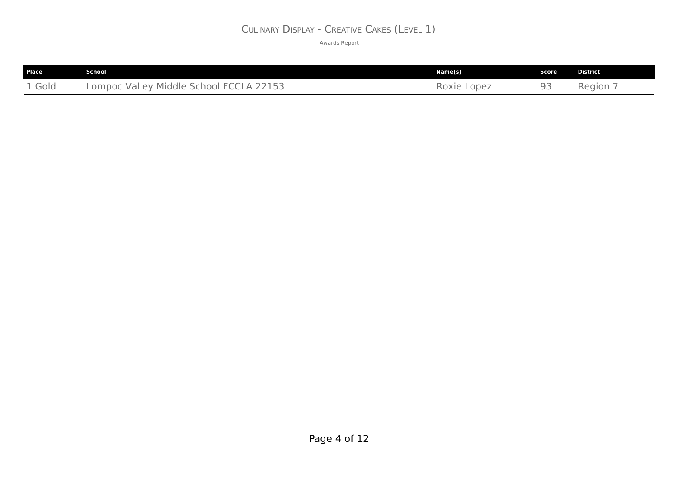#### CULINARY DISPLAY - CREATIVE CAKES (LEVEL 1)

| Place  | School                                  | Name(s)     | Score | <b>District</b> |
|--------|-----------------------------------------|-------------|-------|-----------------|
| 1 Gold | Lompoc Valley Middle School FCCLA 22153 | Roxie Lopez | 93    | Region 7        |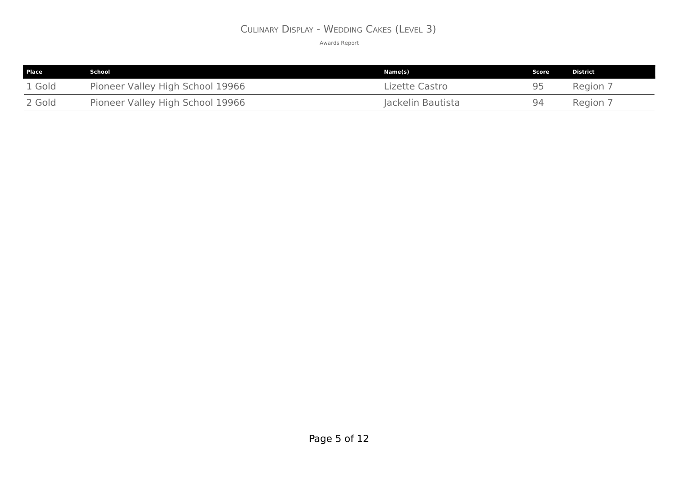#### CULINARY DISPLAY - WEDDING CAKES (LEVEL 3)

| <b>Place</b> | School                           | Name(s)           | Score | <b>District</b> |
|--------------|----------------------------------|-------------------|-------|-----------------|
| 1 Gold       | Pioneer Valley High School 19966 | Lizette Castro    | Q۵    | Region 7        |
| 2 Gold       | Pioneer Valley High School 19966 | Jackelin Bautista | Q⊿    | Region 7        |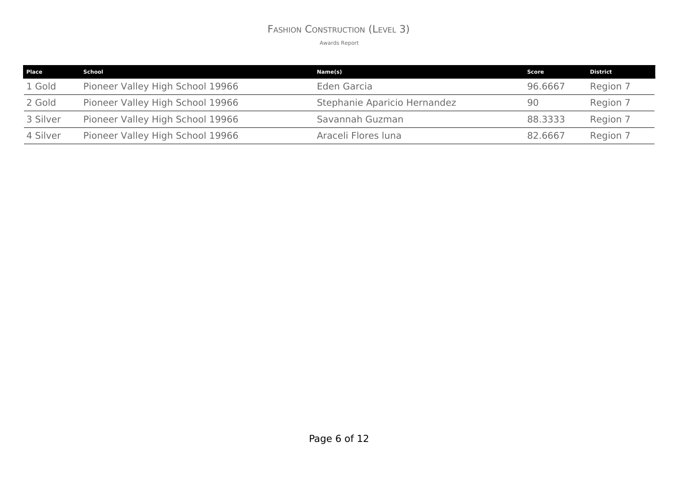#### FASHION CONSTRUCTION (LEVEL 3)

| <b>Place</b> | School                           | Name(s)                      | Score   | <b>District</b> |
|--------------|----------------------------------|------------------------------|---------|-----------------|
| 1 Gold       | Pioneer Valley High School 19966 | Eden Garcia                  | 96.6667 | Region 7        |
| 2 Gold       | Pioneer Valley High School 19966 | Stephanie Aparicio Hernandez | 90      | Region 7        |
| 3 Silver     | Pioneer Valley High School 19966 | Savannah Guzman              | 88,3333 | Region 7        |
| 4 Silver     | Pioneer Valley High School 19966 | Araceli Flores luna          | 82.6667 | Region 7        |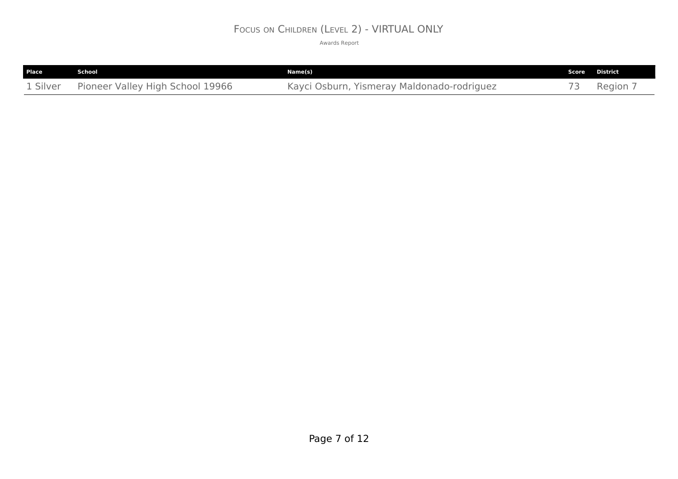## FOCUS ON CHILDREN (LEVEL 2) - VIRTUAL ONLY

| <b>Place</b> | School                           | Name(s)                                    | Score District |
|--------------|----------------------------------|--------------------------------------------|----------------|
| 1 Silver     | Pioneer Valley High School 19966 | Kayci Osburn, Yismeray Maldonado-rodriguez | $Region$ ,     |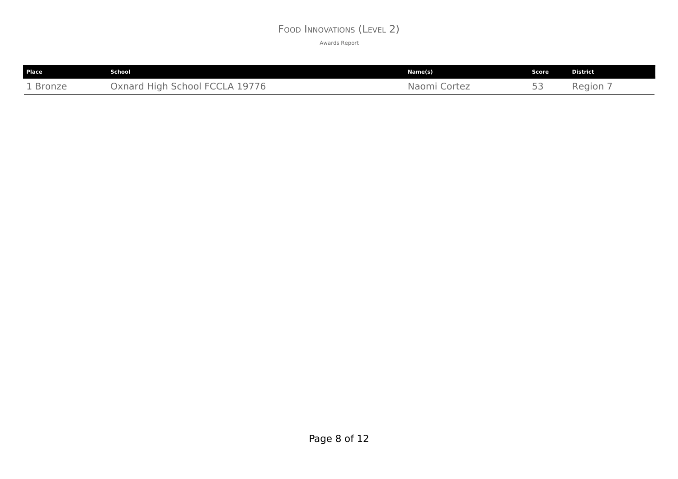#### FOOD INNOVATIONS (LEVEL 2)

| <b>Place</b> | School                                       | Name(s)         | <b>Score</b>                | <b>District</b> |
|--------------|----------------------------------------------|-----------------|-----------------------------|-----------------|
| 1 Bronze     | 19776<br>)xnard<br>Chool<br>Hian<br>$\Delta$ | Cortez<br>Naomi | 口口<br>$\backsim$ $\backsim$ | Region          |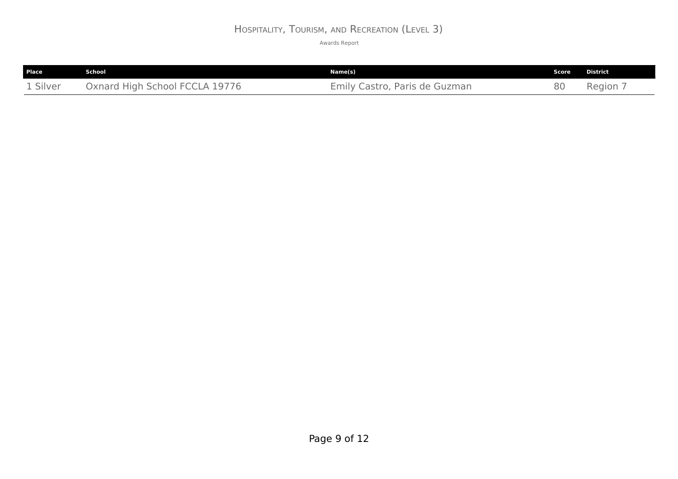# HOSPITALITY, TOURISM, AND RECREATION (LEVEL 3)

| Place    | School                         | Name(s)                       | Score | <b>District</b> |
|----------|--------------------------------|-------------------------------|-------|-----------------|
| 1 Silver | Oxnard High School FCCLA 19776 | Emily Castro, Paris de Guzman | 80    | Region,         |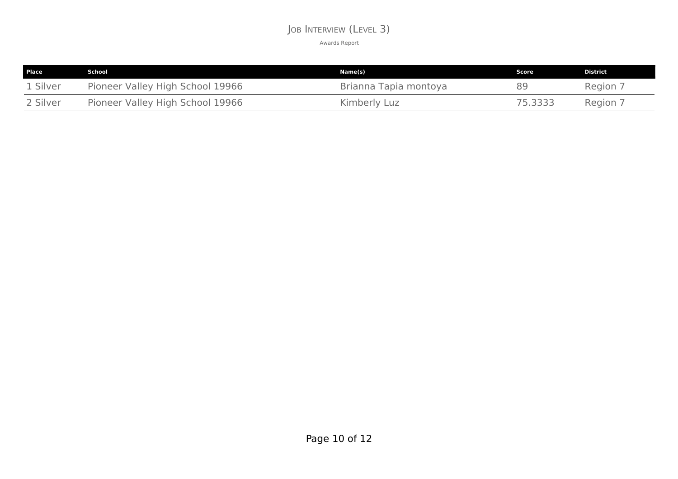#### JOB INTERVIEW (LEVEL 3)

| <b>Place</b> | School                           | Name(s)               | Score   | District |
|--------------|----------------------------------|-----------------------|---------|----------|
| 1 Silver     | Pioneer Valley High School 19966 | Brianna Tapia montoya | 89      | Region 7 |
| 2 Silver     | Pioneer Valley High School 19966 | Kimberly Luz          | 75.3333 | Region 7 |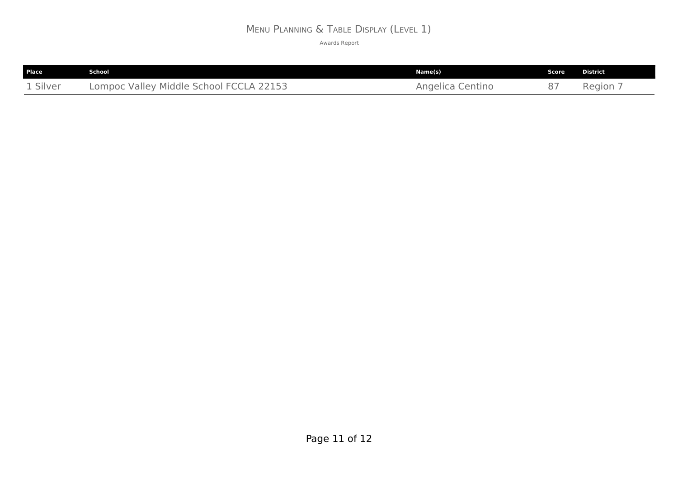# MENU PLANNING & TABLE DISPLAY (LEVEL 1)

| Place    | School                                  | Name(s)          | Score | <b>District</b> |
|----------|-----------------------------------------|------------------|-------|-----------------|
| 1 Silver | Lompoc Valley Middle School FCCLA 22153 | Angelica Centino |       | Region 7        |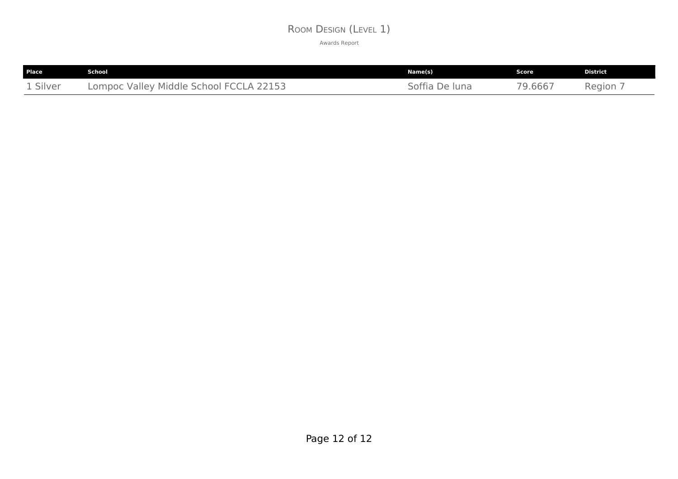#### ROOM DESIGN (LEVEL 1)

| <b>Place</b> | School                                  | Name(s)        | Score   | <b>District</b> |
|--------------|-----------------------------------------|----------------|---------|-----------------|
| 1 Silver     | Lompoc Valley Middle School FCCLA 22153 | Soffia De luna | 79.6667 | Region          |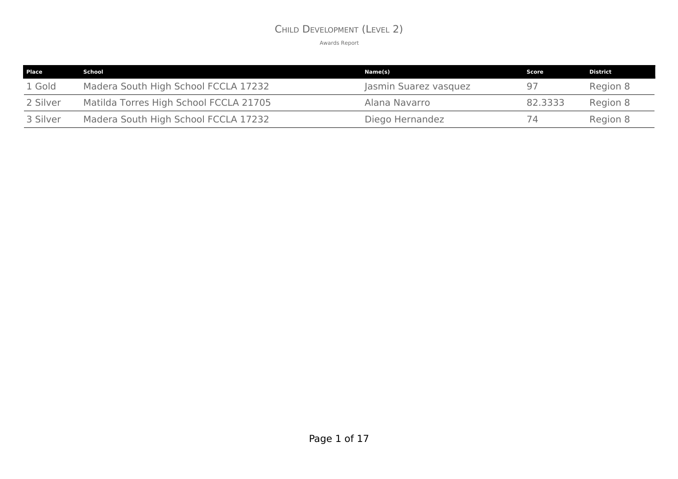#### CHILD DEVELOPMENT (LEVEL 2)

| <b>Place</b> | School                                 | Name(s)               | Score   | District |
|--------------|----------------------------------------|-----------------------|---------|----------|
| 1 Gold       | Madera South High School FCCLA 17232   | Jasmin Suarez vasquez | 97      | Region 8 |
| 2 Silver     | Matilda Torres High School FCCLA 21705 | Alana Navarro         | 82.3333 | Region 8 |
| 3 Silver     | Madera South High School FCCLA 17232   | Diego Hernandez       | 74      | Region 8 |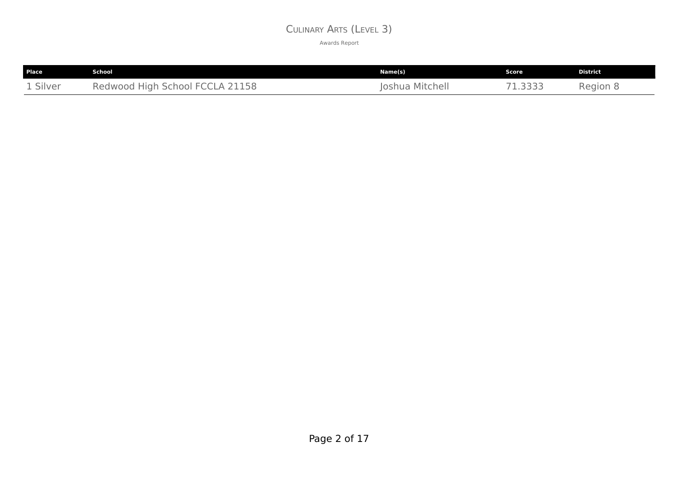#### CULINARY ARTS (LEVEL 3)

| Place    | .School                         | Name(s)         | Score   | District |
|----------|---------------------------------|-----------------|---------|----------|
| 1 Silver | Redwood High School FCCLA 21158 | Joshua Mitchell | 71.3333 | Region 8 |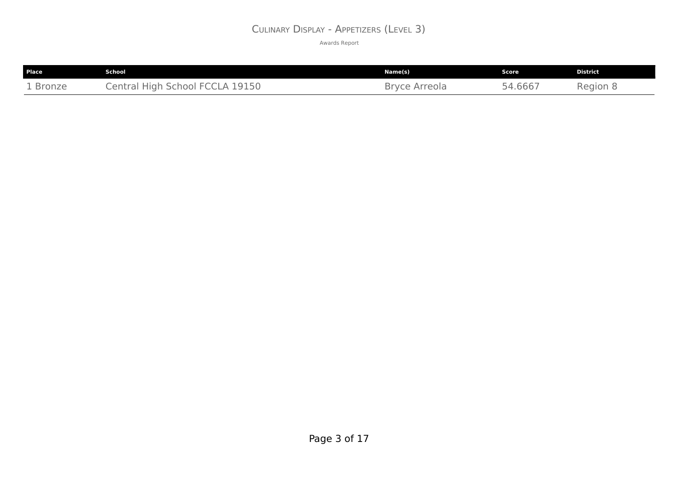#### CULINARY DISPLAY - APPETIZERS (LEVEL 3)

| Place    | School                          | Name(s)       | Score   | <b>District</b> |
|----------|---------------------------------|---------------|---------|-----------------|
| 1 Bronze | Central High School FCCLA 19150 | Bryce Arreola | 54.6667 | Region 8        |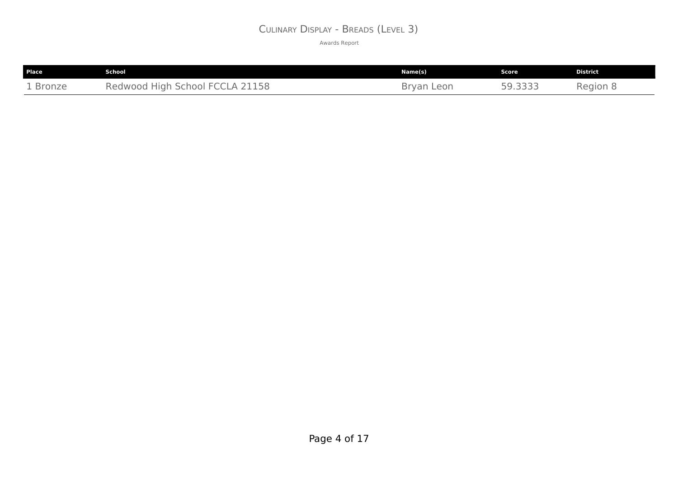#### CULINARY DISPLAY - BREADS (LEVEL 3)

| Place    | School                          | Name(s)    | Score   | District |
|----------|---------------------------------|------------|---------|----------|
| 1 Bronze | Redwood High School FCCLA 21158 | Bryan Leon | 59.3333 | Region 8 |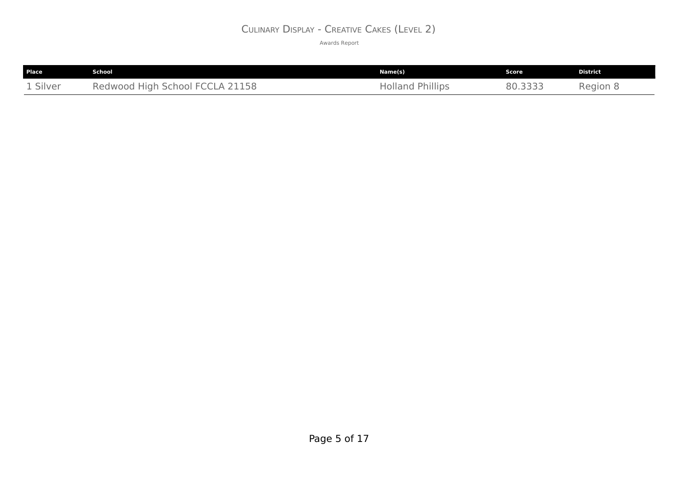#### CULINARY DISPLAY - CREATIVE CAKES (LEVEL 2)

| Place    | School                          | Name(s)                 | Score   | <b>District</b> |
|----------|---------------------------------|-------------------------|---------|-----------------|
| 1 Silver | Redwood High School FCCLA 21158 | <b>Holland Phillips</b> | 80.3333 | Region 8        |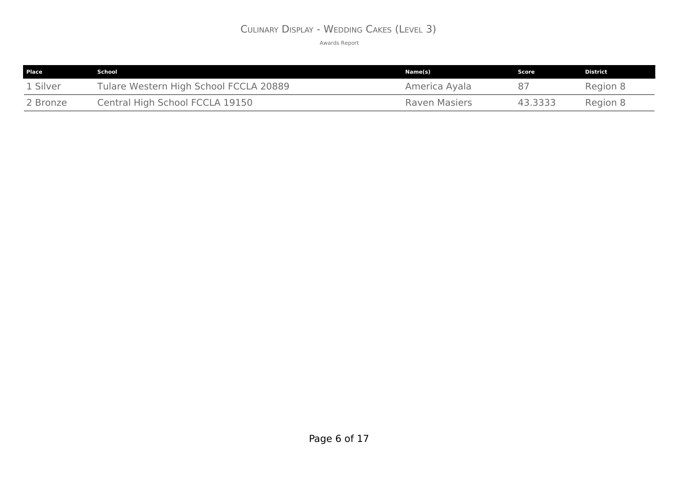#### CULINARY DISPLAY - WEDDING CAKES (LEVEL 3)

| <b>Place</b> | School                                 | Name(s)       | Score   | <b>District</b> |
|--------------|----------------------------------------|---------------|---------|-----------------|
| 1 Silver     | Tulare Western High School FCCLA 20889 | America Ayala |         | Region 8        |
| 2 Bronze     | Central High School FCCLA 19150        | Raven Masiers | 43.3333 | Region 8        |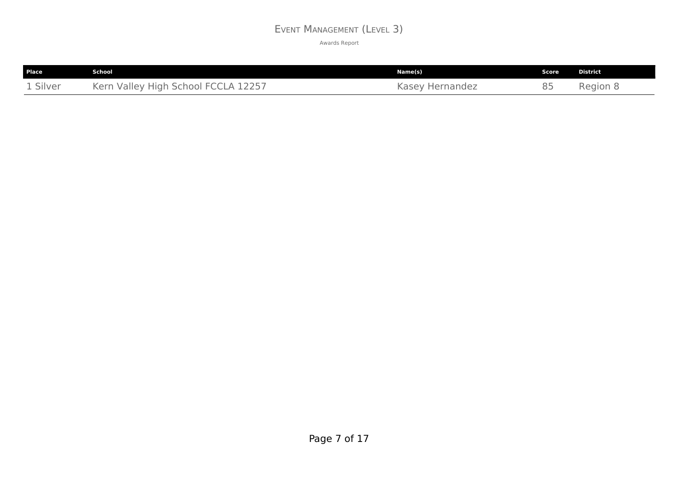#### EVENT MANAGEMENT (LEVEL 3)

| <b>Place</b> | <b>School</b>                       | Name(s)         | <b>Score</b> | <b>District</b> |
|--------------|-------------------------------------|-----------------|--------------|-----------------|
| 1 Silver     | Kern Valley High School FCCLA 12257 | Kasey Hernandez | 85           | Region &        |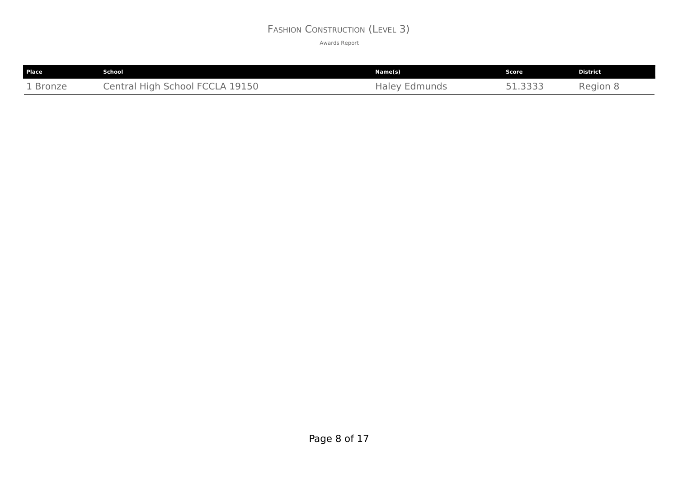### FASHION CONSTRUCTION (LEVEL 3)

| Place    | <b>School</b>                   | Name(s)              | Score   | <b>District</b> |
|----------|---------------------------------|----------------------|---------|-----------------|
| 1 Bronze | Central High School FCCLA 19150 | <b>Haley Edmunds</b> | 51.3333 | Region 8        |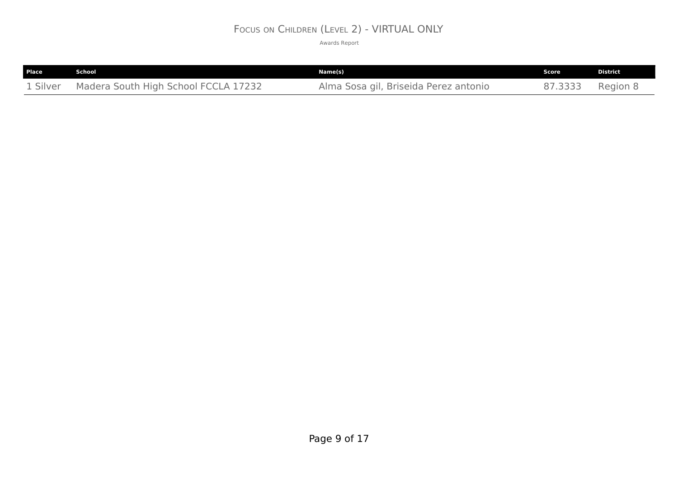### FOCUS ON CHILDREN (LEVEL 2) - VIRTUAL ONLY

| Place    | School                               | Name(s)                               | Score   | <b>District</b> |
|----------|--------------------------------------|---------------------------------------|---------|-----------------|
| 1 Silver | Madera South High School FCCLA 17232 | Alma Sosa gil, Briseida Perez antonio | 87.3333 | Region 8        |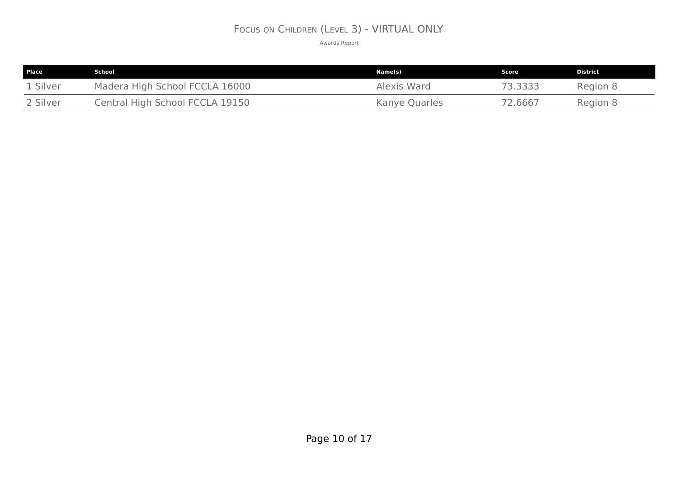### FOCUS ON CHILDREN (LEVEL 3) - VIRTUAL ONLY

| <b>Place</b> | School                          | Name(s)       | Score   | <b>District</b> |
|--------------|---------------------------------|---------------|---------|-----------------|
| 1 Silver     | Madera High School FCCLA 16000  | Alexis Ward   | 73.3333 | Region 8        |
| 2 Silver     | Central High School FCCLA 19150 | Kanye Quarles | 72.6667 | Region 8        |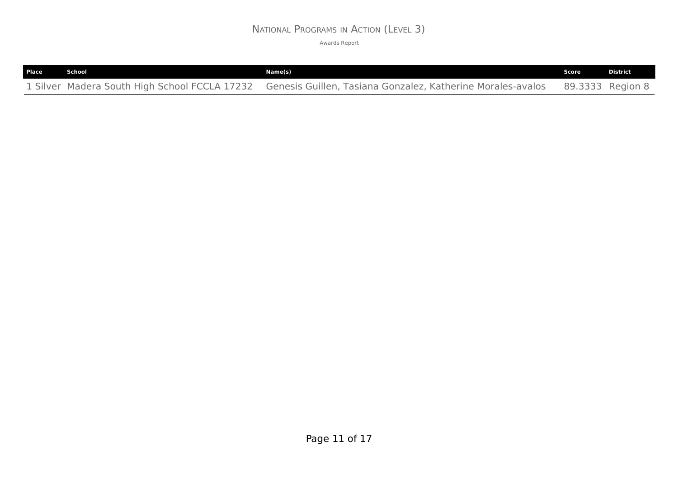### NATIONAL PROGRAMS IN ACTION (LEVEL 3)

| Place | School | Name(s)                                                                                                                    | Score | <b>District</b> |
|-------|--------|----------------------------------------------------------------------------------------------------------------------------|-------|-----------------|
|       |        | 1 Silver Madera South High School FCCLA 17232 Genesis Guillen, Tasiana Gonzalez, Katherine Morales-avalos 89.3333 Region 8 |       |                 |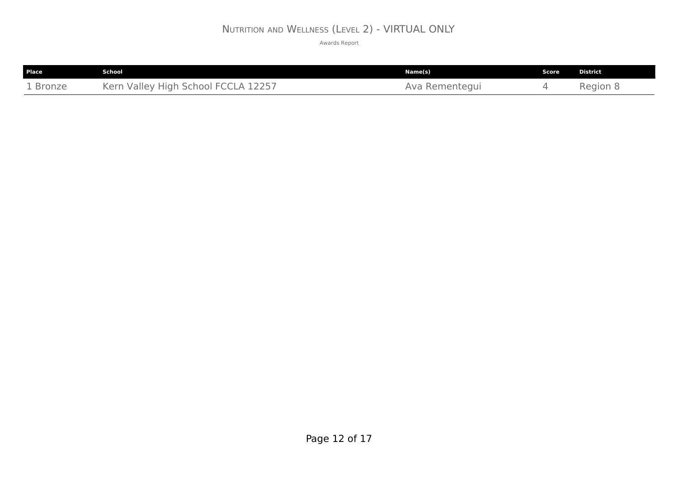# NUTRITION AND WELLNESS (LEVEL 2) - VIRTUAL ONLY

| Place    | <b>School</b>                                             | Name(s)           | Score | <b>District</b> |
|----------|-----------------------------------------------------------|-------------------|-------|-----------------|
| . Bronze | $K \triangle$ rn<br>$\Delta$<br>: High School .<br>Valley | Rementegui<br>AVF |       | Region &        |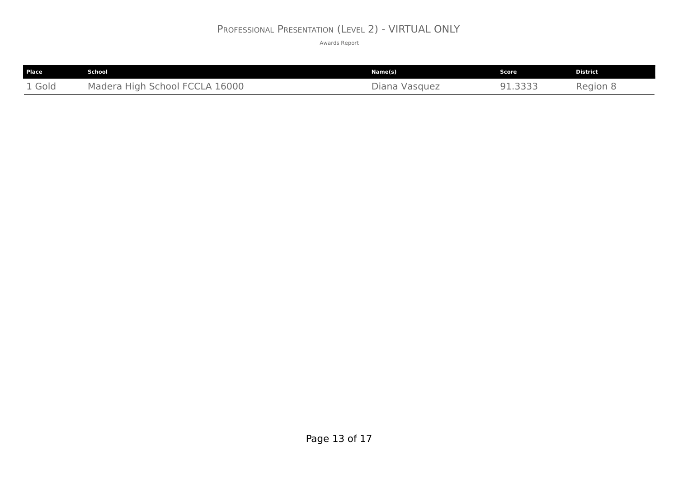### PROFESSIONAL PRESENTATION (LEVEL 2) - VIRTUAL ONLY

| Place       | School                                                      | Name(s)          | <b>Score</b>          | <b>District</b> |
|-------------|-------------------------------------------------------------|------------------|-----------------------|-----------------|
| . Gold<br>- | 16000<br>Madera<br>School i<br>High<br><b>CCLA</b><br>$-H($ | Vasquez<br>Diana | つつつつ<br>- - - - - - - | Region<br>- 9   |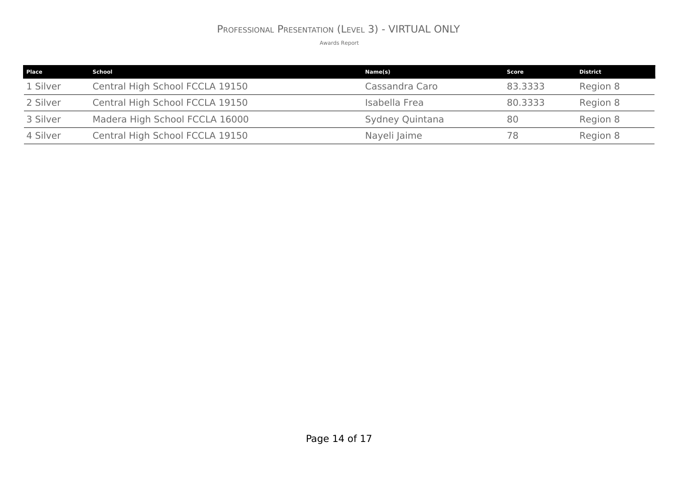# PROFESSIONAL PRESENTATION (LEVEL 3) - VIRTUAL ONLY

| <b>Place</b> | School                          | Name(s)         | Score   | <b>District</b> |
|--------------|---------------------------------|-----------------|---------|-----------------|
| 1 Silver     | Central High School FCCLA 19150 | Cassandra Caro  | 83,3333 | Region 8        |
| 2 Silver     | Central High School FCCLA 19150 | Isabella Frea   | 80.3333 | Region 8        |
| 3 Silver     | Madera High School FCCLA 16000  | Sydney Quintana | 80      | Region 8        |
| 4 Silver     | Central High School FCCLA 19150 | Nayeli Jaime    | 78      | Region 8        |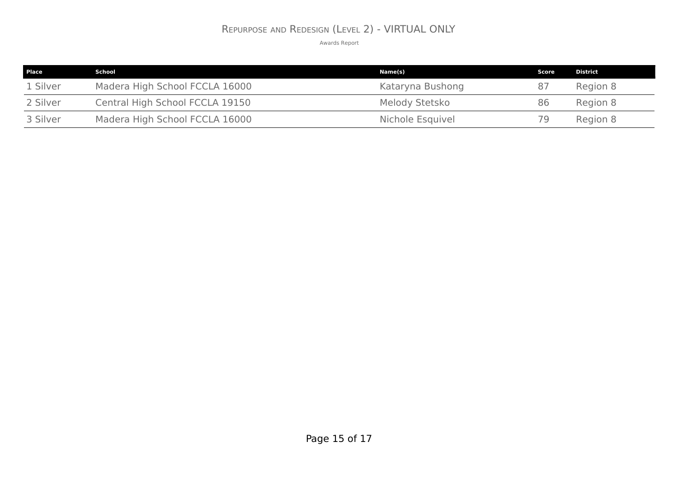### REPURPOSE AND REDESIGN (LEVEL 2) - VIRTUAL ONLY

| <b>Place</b> | School                          | Name(s)          | Score | <b>District</b> |
|--------------|---------------------------------|------------------|-------|-----------------|
| 1 Silver     | Madera High School FCCLA 16000  | Kataryna Bushong | 87    | Region 8        |
| 2 Silver     | Central High School FCCLA 19150 | Melody Stetsko   | 86    | Region 8        |
| 3 Silver     | Madera High School FCCLA 16000  | Nichole Esquivel | 79    | Region 8        |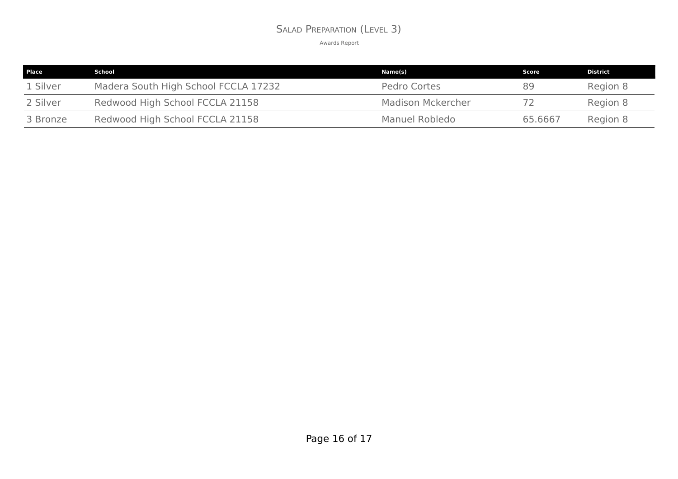### SALAD PREPARATION (LEVEL 3)

| Place    | School                               | Name(s)                  | Score   | <b>District</b> |
|----------|--------------------------------------|--------------------------|---------|-----------------|
| 1 Silver | Madera South High School FCCLA 17232 | Pedro Cortes             | 89      | Region 8        |
| 2 Silver | Redwood High School FCCLA 21158      | <b>Madison Mckercher</b> |         | Region 8        |
| 3 Bronze | Redwood High School FCCLA 21158      | Manuel Robledo           | 65.6667 | Region 8        |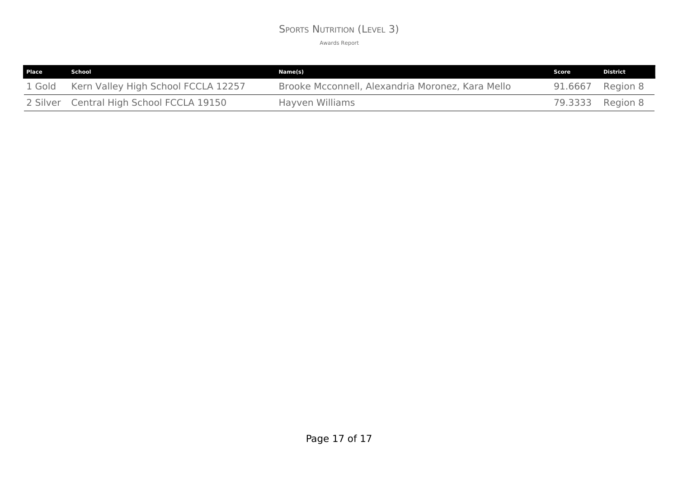### SPORTS NUTRITION (LEVEL 3)

| Place  | School                                   | Name(s)                                          | Score            | <b>District</b> |
|--------|------------------------------------------|--------------------------------------------------|------------------|-----------------|
| 1 Gold | Kern Valley High School FCCLA 12257      | Brooke Mcconnell, Alexandria Moronez, Kara Mello | 91.6667          | Region 8        |
|        | 2 Silver Central High School FCCLA 19150 | Hayven Williams                                  | 79.3333 Region 8 |                 |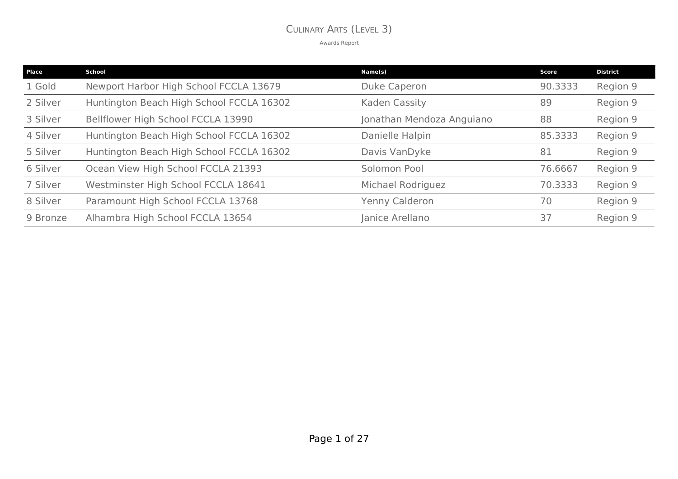### CULINARY ARTS (LEVEL 3)

| Place    | <b>School</b>                            | Name(s)                   | Score   | <b>District</b> |
|----------|------------------------------------------|---------------------------|---------|-----------------|
| 1 Gold   | Newport Harbor High School FCCLA 13679   | <b>Duke Caperon</b>       | 90.3333 | Region 9        |
| 2 Silver | Huntington Beach High School FCCLA 16302 | Kaden Cassity             | 89      | Region 9        |
| 3 Silver | Bellflower High School FCCLA 13990       | Jonathan Mendoza Anguiano | 88      | Region 9        |
| 4 Silver | Huntington Beach High School FCCLA 16302 | Danielle Halpin           | 85.3333 | Region 9        |
| 5 Silver | Huntington Beach High School FCCLA 16302 | Davis VanDyke             | 81      | Region 9        |
| 6 Silver | Ocean View High School FCCLA 21393       | Solomon Pool              | 76.6667 | Region 9        |
| 7 Silver | Westminster High School FCCLA 18641      | Michael Rodriguez         | 70.3333 | Region 9        |
| 8 Silver | Paramount High School FCCLA 13768        | Yenny Calderon            | 70      | Region 9        |
| 9 Bronze | Alhambra High School FCCLA 13654         | Janice Arellano           | 37      | Region 9        |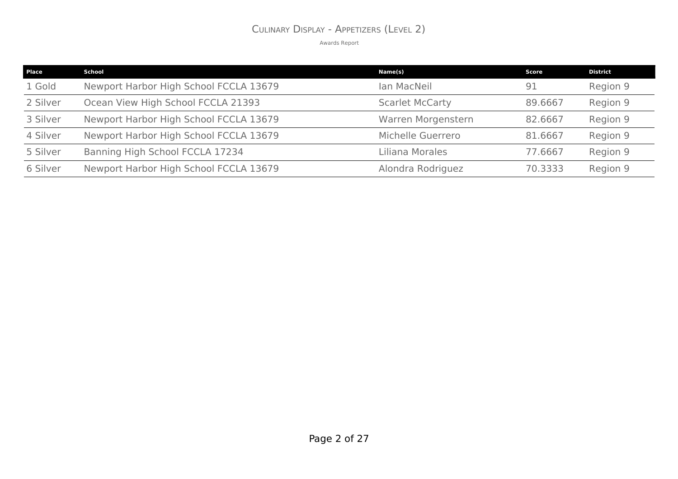### CULINARY DISPLAY - APPETIZERS (LEVEL 2)

| <b>Place</b> | School                                 | Name(s)                | Score   | <b>District</b> |
|--------------|----------------------------------------|------------------------|---------|-----------------|
| 1 Gold       | Newport Harbor High School FCCLA 13679 | Ian MacNeil            | 91      | Region 9        |
| 2 Silver     | Ocean View High School FCCLA 21393     | <b>Scarlet McCarty</b> | 89,6667 | Region 9        |
| 3 Silver     | Newport Harbor High School FCCLA 13679 | Warren Morgenstern     | 82.6667 | Region 9        |
| 4 Silver     | Newport Harbor High School FCCLA 13679 | Michelle Guerrero      | 81.6667 | Region 9        |
| 5 Silver     | Banning High School FCCLA 17234        | Liliana Morales        | 77.6667 | Region 9        |
| 6 Silver     | Newport Harbor High School FCCLA 13679 | Alondra Rodriguez      | 70.3333 | Region 9        |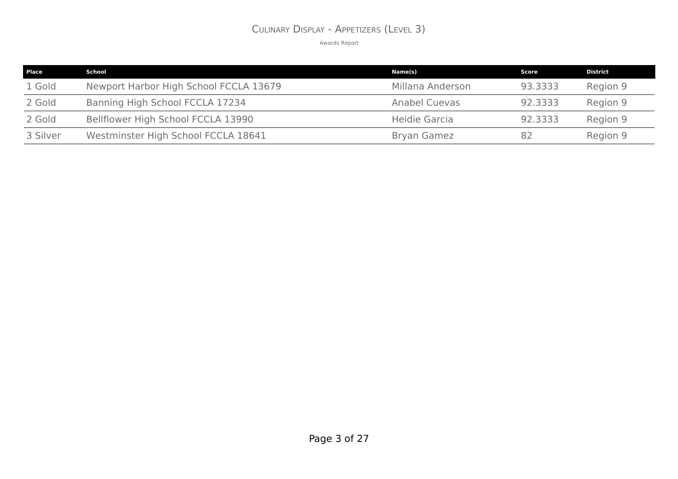### CULINARY DISPLAY - APPETIZERS (LEVEL 3)

| Place    | School                                 | Name(s)              | Score   | <b>District</b> |
|----------|----------------------------------------|----------------------|---------|-----------------|
| 1 Gold   | Newport Harbor High School FCCLA 13679 | Millana Anderson     | 93.3333 | Region 9        |
| 2 Gold   | Banning High School FCCLA 17234        | <b>Anabel Cuevas</b> | 92.3333 | Region 9        |
| 2 Gold   | Bellflower High School FCCLA 13990     | Heidie Garcia        | 92.3333 | Region 9        |
| 3 Silver | Westminster High School FCCLA 18641    | <b>Bryan Gamez</b>   | 82      | Region 9        |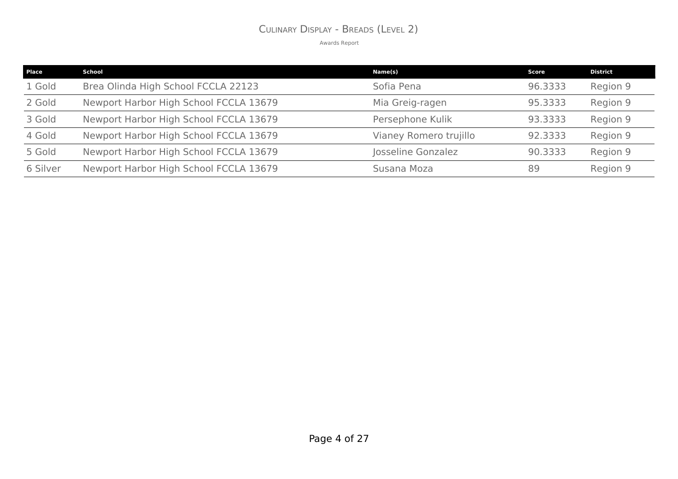### CULINARY DISPLAY - BREADS (LEVEL 2)

| Place    | School                                 | Name(s)                | Score   | <b>District</b> |
|----------|----------------------------------------|------------------------|---------|-----------------|
| 1 Gold   | Brea Olinda High School FCCLA 22123    | Sofia Pena             | 96.3333 | Region 9        |
| 2 Gold   | Newport Harbor High School FCCLA 13679 | Mia Greig-ragen        | 95.3333 | Region 9        |
| 3 Gold   | Newport Harbor High School FCCLA 13679 | Persephone Kulik       | 93.3333 | Region 9        |
| 4 Gold   | Newport Harbor High School FCCLA 13679 | Vianey Romero trujillo | 92.3333 | Region 9        |
| 5 Gold   | Newport Harbor High School FCCLA 13679 | Josseline Gonzalez     | 90.3333 | Region 9        |
| 6 Silver | Newport Harbor High School FCCLA 13679 | Susana Moza            | 89      | Region 9        |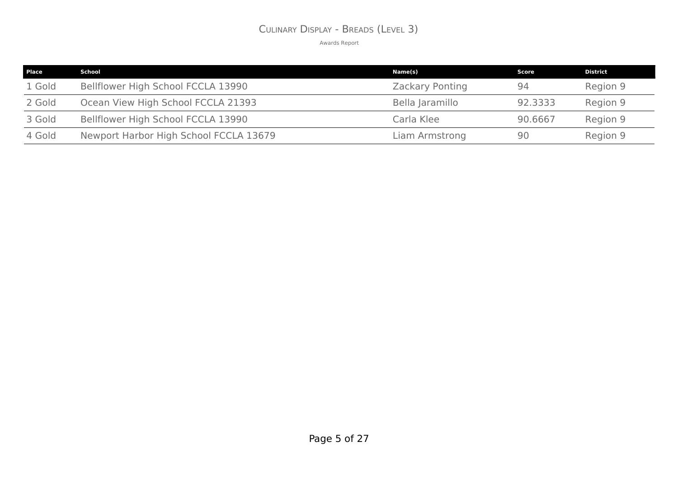### CULINARY DISPLAY - BREADS (LEVEL 3)

| <b>Place</b> | School                                 | Name(s)                | Score   | <b>District</b> |
|--------------|----------------------------------------|------------------------|---------|-----------------|
| 1 Gold       | Bellflower High School FCCLA 13990     | <b>Zackary Ponting</b> | 94      | Region 9        |
| 2 Gold       | Ocean View High School FCCLA 21393     | Bella Jaramillo        | 92.3333 | Region 9        |
| 3 Gold       | Bellflower High School FCCLA 13990     | Carla Klee             | 90.6667 | Region 9        |
| 4 Gold       | Newport Harbor High School FCCLA 13679 | Liam Armstrong         | 90      | Region 9        |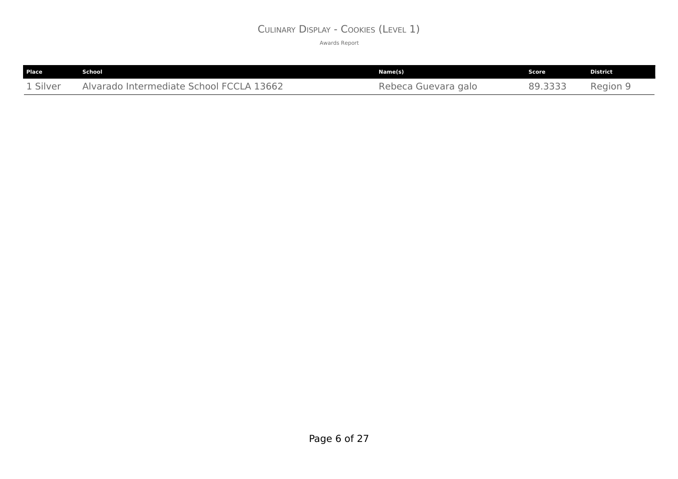### CULINARY DISPLAY - COOKIES (LEVEL 1)

| <b>Place</b> | <b>School</b>                            | Name(s)             | Score | District |
|--------------|------------------------------------------|---------------------|-------|----------|
| 1 Silver     | Alvarado Intermediate School FCCLA 13662 | Rebeca Guevara galo | $ -$  | Region 9 |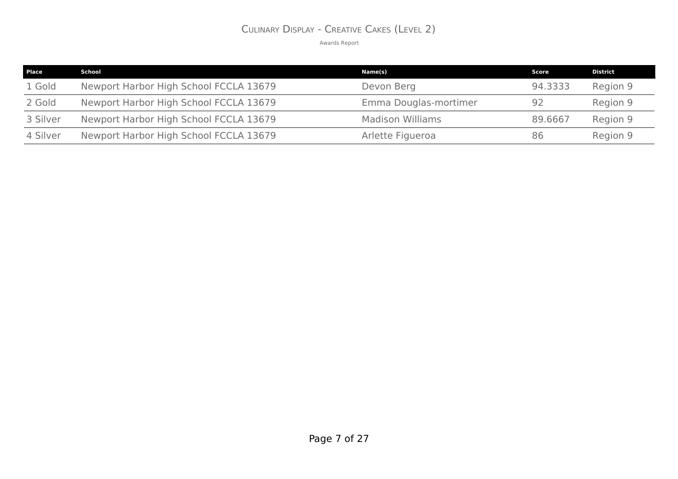### CULINARY DISPLAY - CREATIVE CAKES (LEVEL 2)

| Place    | School                                 | Name(s)                 | Score   | <b>District</b> |
|----------|----------------------------------------|-------------------------|---------|-----------------|
| 1 Gold   | Newport Harbor High School FCCLA 13679 | Devon Berg              | 94.3333 | Region 9        |
| 2 Gold   | Newport Harbor High School FCCLA 13679 | Emma Douglas-mortimer   | 92      | Region 9        |
| 3 Silver | Newport Harbor High School FCCLA 13679 | <b>Madison Williams</b> | 89,6667 | Region 9        |
| 4 Silver | Newport Harbor High School FCCLA 13679 | Arlette Figueroa        | 86      | Region 9        |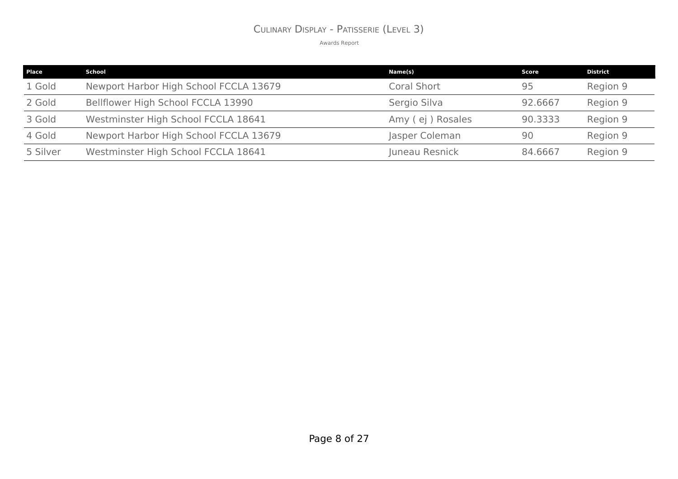### CULINARY DISPLAY - PATISSERIE (LEVEL 3)

| <b>Place</b> | School                                 | Name(s)            | Score   | <b>District</b> |
|--------------|----------------------------------------|--------------------|---------|-----------------|
| 1 Gold       | Newport Harbor High School FCCLA 13679 | <b>Coral Short</b> | 95      | Region 9        |
| 2 Gold       | Bellflower High School FCCLA 13990     | Sergio Silva       | 92.6667 | Region 9        |
| 3 Gold       | Westminster High School FCCLA 18641    | Amy (ej) Rosales   | 90.3333 | Region 9        |
| 4 Gold       | Newport Harbor High School FCCLA 13679 | Jasper Coleman     | 90      | Region 9        |
| 5 Silver     | Westminster High School FCCLA 18641    | Juneau Resnick     | 84.6667 | Region 9        |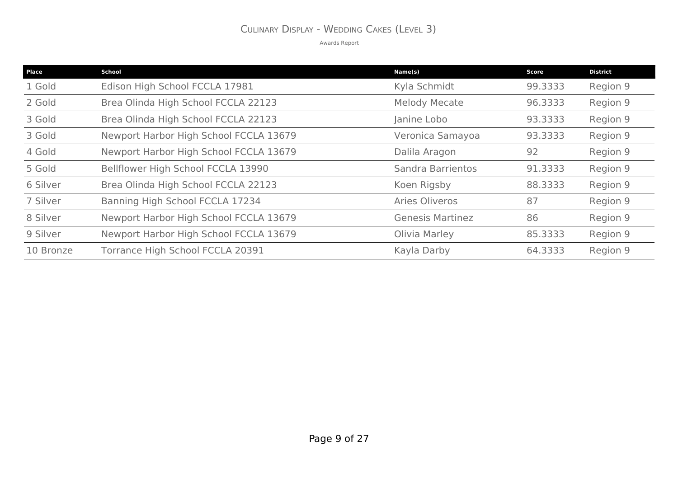### CULINARY DISPLAY - WEDDING CAKES (LEVEL 3)

| Place     | <b>School</b>                          | Name(s)                 | <b>Score</b> | <b>District</b> |
|-----------|----------------------------------------|-------------------------|--------------|-----------------|
| 1 Gold    | Edison High School FCCLA 17981         | Kyla Schmidt            | 99.3333      | Region 9        |
| 2 Gold    | Brea Olinda High School FCCLA 22123    | <b>Melody Mecate</b>    | 96.3333      | Region 9        |
| 3 Gold    | Brea Olinda High School FCCLA 22123    | Janine Lobo             | 93.3333      | Region 9        |
| 3 Gold    | Newport Harbor High School FCCLA 13679 | Veronica Samayoa        | 93.3333      | Region 9        |
| 4 Gold    | Newport Harbor High School FCCLA 13679 | Dalila Aragon           | 92           | Region 9        |
| 5 Gold    | Bellflower High School FCCLA 13990     | Sandra Barrientos       | 91.3333      | Region 9        |
| 6 Silver  | Brea Olinda High School FCCLA 22123    | Koen Rigsby             | 88.3333      | Region 9        |
| 7 Silver  | Banning High School FCCLA 17234        | Aries Oliveros          | 87           | Region 9        |
| 8 Silver  | Newport Harbor High School FCCLA 13679 | <b>Genesis Martinez</b> | 86           | Region 9        |
| 9 Silver  | Newport Harbor High School FCCLA 13679 | Olivia Marley           | 85.3333      | Region 9        |
| 10 Bronze | Torrance High School FCCLA 20391       | Kayla Darby             | 64.3333      | Region 9        |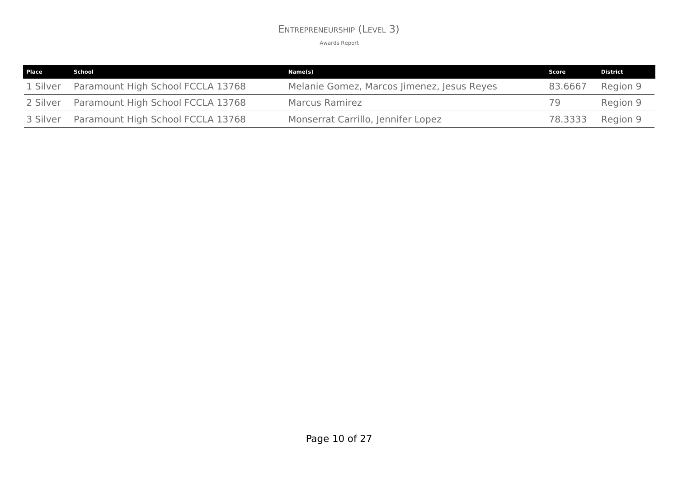### ENTREPRENEURSHIP (LEVEL 3)

| Place    | School                                     | Name(s)                                    | Score   | <b>District</b> |
|----------|--------------------------------------------|--------------------------------------------|---------|-----------------|
| 1 Silver | Paramount High School FCCLA 13768          | Melanie Gomez, Marcos Jimenez, Jesus Reyes | 83.6667 | Region 9        |
|          | 2 Silver Paramount High School FCCLA 13768 | <b>Marcus Ramirez</b>                      | 79      | Region 9        |
|          | 3 Silver Paramount High School FCCLA 13768 | Monserrat Carrillo, Jennifer Lopez         | 78.3333 | Region 9        |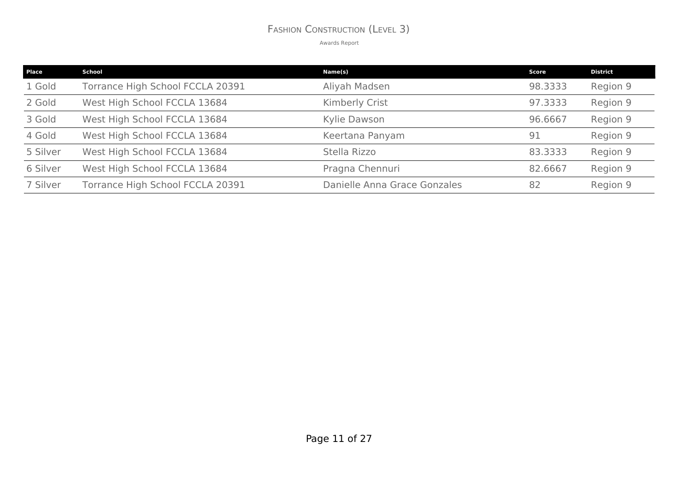### FASHION CONSTRUCTION (LEVEL 3)

| <b>Place</b> | School                           | Name(s)                      | <b>Score</b> | <b>District</b> |
|--------------|----------------------------------|------------------------------|--------------|-----------------|
| 1 Gold       | Torrance High School FCCLA 20391 | Aliyah Madsen                | 98.3333      | Region 9        |
| 2 Gold       | West High School FCCLA 13684     | Kimberly Crist               | 97.3333      | Region 9        |
| 3 Gold       | West High School FCCLA 13684     | Kylie Dawson                 | 96.6667      | Region 9        |
| 4 Gold       | West High School FCCLA 13684     | Keertana Panyam              | 91           | Region 9        |
| 5 Silver     | West High School FCCLA 13684     | Stella Rizzo                 | 83.3333      | Region 9        |
| 6 Silver     | West High School FCCLA 13684     | Pragna Chennuri              | 82.6667      | Region 9        |
| 7 Silver     | Torrance High School FCCLA 20391 | Danielle Anna Grace Gonzales | 82           | Region 9        |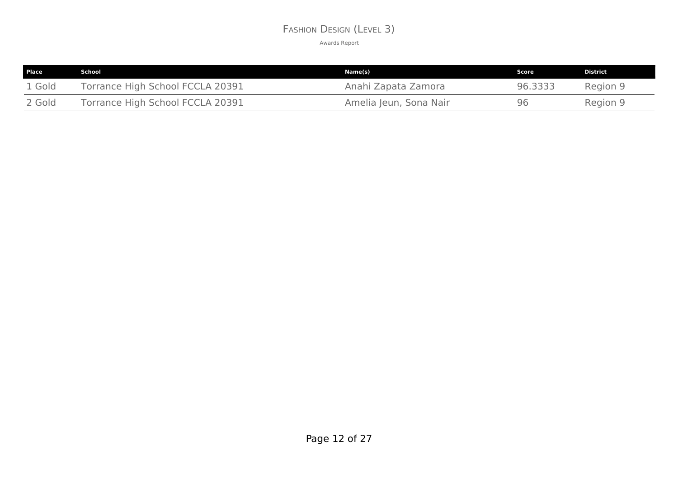### FASHION DESIGN (LEVEL 3)

| Place  | School                           | Name(s)                | Score   | District |
|--------|----------------------------------|------------------------|---------|----------|
| 1 Gold | Torrance High School FCCLA 20391 | Anahi Zapata Zamora    | 96.3333 | Region 9 |
| 2 Gold | Torrance High School FCCLA 20391 | Amelia Jeun, Sona Nair | 96      | Region 9 |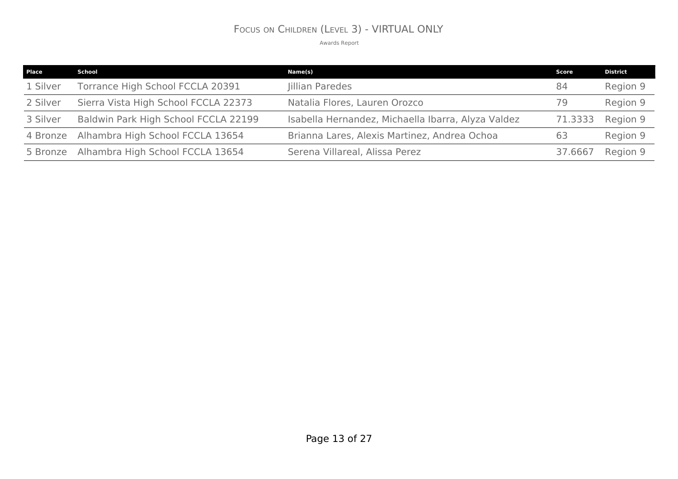### FOCUS ON CHILDREN (LEVEL 3) - VIRTUAL ONLY

| <b>Place</b> | School                                    | Name(s)                                            | <b>Score</b> | <b>District</b> |
|--------------|-------------------------------------------|----------------------------------------------------|--------------|-----------------|
| 1 Silver     | Torrance High School FCCLA 20391          | Jillian Paredes                                    | 84           | Region 9        |
| 2 Silver     | Sierra Vista High School FCCLA 22373      | Natalia Flores, Lauren Orozco                      | 79           | Region 9        |
| 3 Silver     | Baldwin Park High School FCCLA 22199      | Isabella Hernandez, Michaella Ibarra, Alyza Valdez | 71.3333      | Region 9        |
| 4 Bronze     | Alhambra High School FCCLA 13654          | Brianna Lares, Alexis Martinez, Andrea Ochoa       | 63           | Region 9        |
|              | 5 Bronze Alhambra High School FCCLA 13654 | Serena Villareal, Alissa Perez                     | 37.6667      | Region 9        |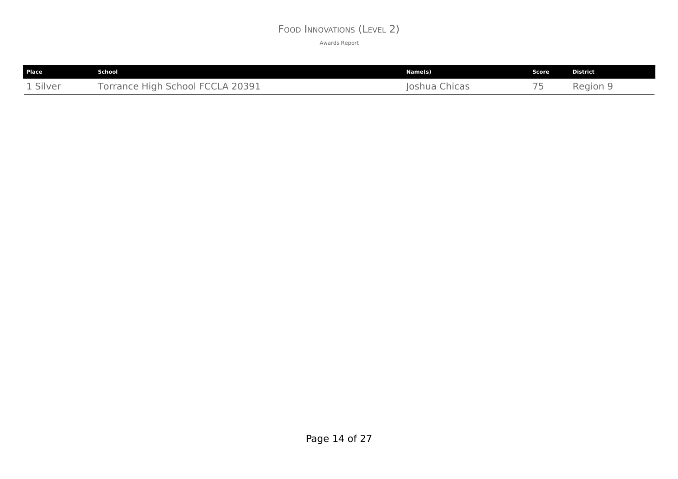### FOOD INNOVATIONS (LEVEL 2)

| Place    | School                           | Name(s)       | <b>Score</b>             | <b>District</b> |
|----------|----------------------------------|---------------|--------------------------|-----------------|
| 1 Silver | Torrance High School FCCLA 20391 | Joshua Chicas | $\overline{\phantom{a}}$ | Region 9        |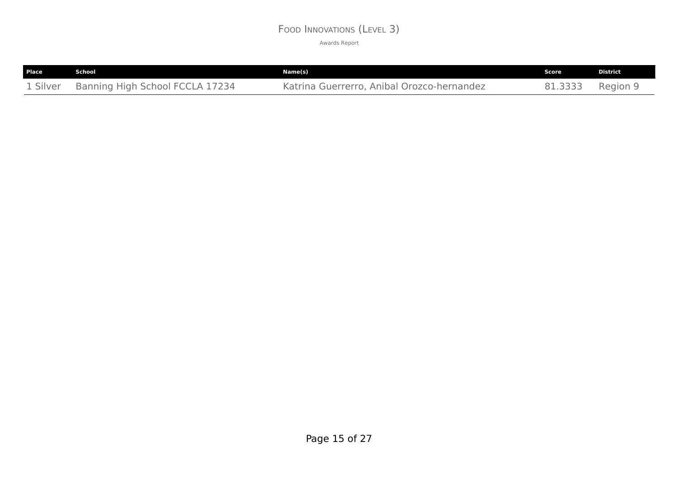### FOOD INNOVATIONS (LEVEL 3)

| Place | School                                   | Name(s)                                    | Score   | <b>District</b> |
|-------|------------------------------------------|--------------------------------------------|---------|-----------------|
|       | 1 Silver Banning High School FCCLA 17234 | Katrina Guerrerro, Anibal Orozco-hernandez | 81.3333 | Region 9        |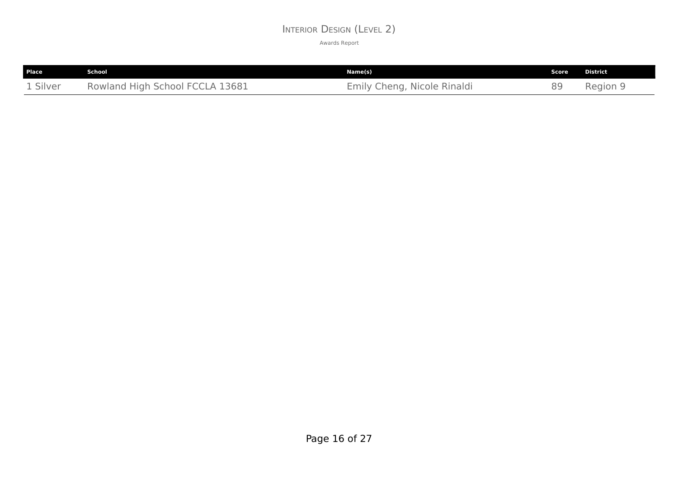### INTERIOR DESIGN (LEVEL 2)

| Place    | <b>School</b>                   | Name(s)                     | Score | District |
|----------|---------------------------------|-----------------------------|-------|----------|
| 1 Silver | Rowland High School FCCLA 13681 | Emily Cheng, Nicole Rinaldi | gα    | Region 9 |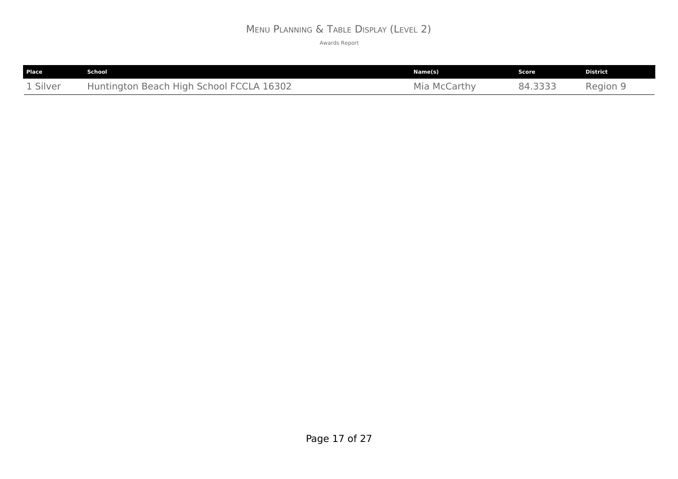# MENU PLANNING & TABLE DISPLAY (LEVEL 2)

| Place    | <b>School</b>                            | Name(s)         | Score   | <b>District</b> |
|----------|------------------------------------------|-----------------|---------|-----------------|
| 1 Silver | Huntington Beach High School FCCLA 16302 | Mia<br>McCarthy | 84.3333 | Region 9        |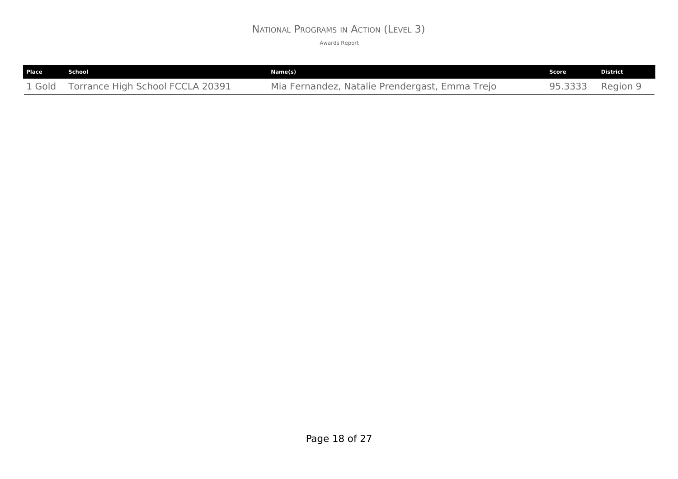### NATIONAL PROGRAMS IN ACTION (LEVEL 3)

| Place  | School                           | Name(s)                                        | Score   | <b>District</b> |
|--------|----------------------------------|------------------------------------------------|---------|-----------------|
| 1 Gold | Torrance High School FCCLA 20391 | Mia Fernandez, Natalie Prendergast, Emma Trejo | 95.3333 | Region 9        |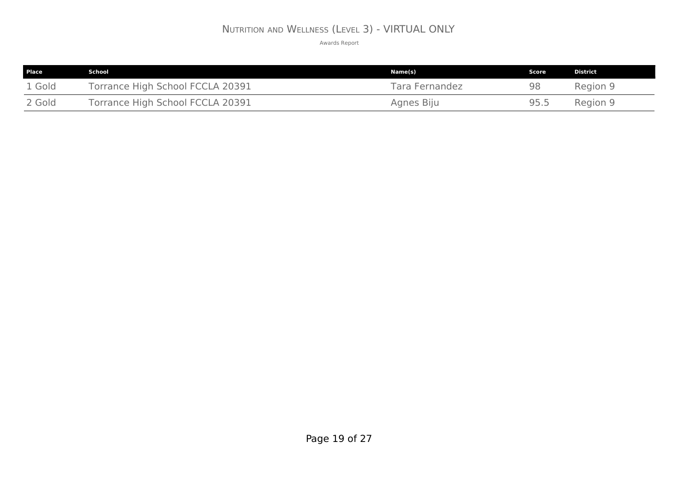# NUTRITION AND WELLNESS (LEVEL 3) - VIRTUAL ONLY

| <b>Place</b> | School                           | Name(s)        | Score | District |
|--------------|----------------------------------|----------------|-------|----------|
| 1 Gold       | Torrance High School FCCLA 20391 | Tara Fernandez | 98    | Region 9 |
| 2 Gold       | Torrance High School FCCLA 20391 | Agnes Biju     | 95.5  | Region 9 |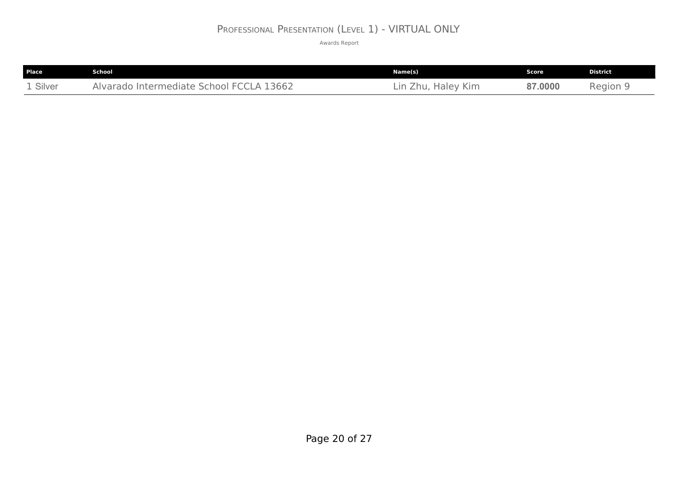### PROFESSIONAL PRESENTATION (LEVEL 1) - VIRTUAL ONLY

| <b>Place</b> | School                                                              | Name(s)                                   | Score   | <b>District</b> |
|--------------|---------------------------------------------------------------------|-------------------------------------------|---------|-----------------|
| 1 Silver     | <b>CLA 13662</b><br>Intermediate School I<br>Alvarado<br><b>FCC</b> | Kim<br><b>Haley</b><br>$\sqcup$ r<br>'nu, | 87.0000 | Region          |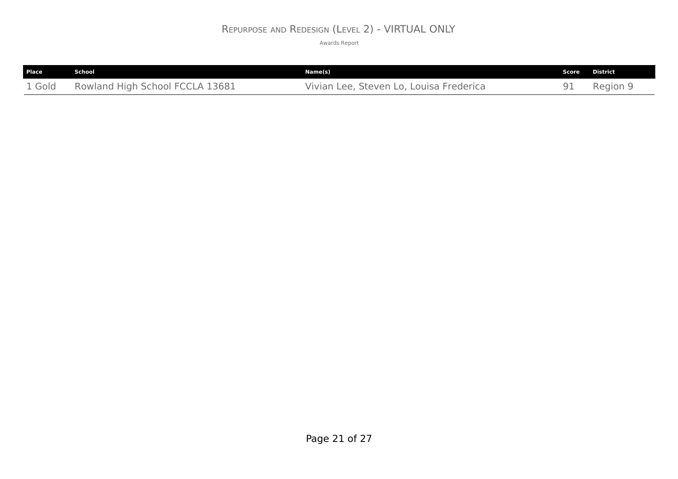### REPURPOSE AND REDESIGN (LEVEL 2) - VIRTUAL ONLY

| Place  | School                          | Name(s)                                 | Score | <b>District</b> |
|--------|---------------------------------|-----------------------------------------|-------|-----------------|
| 1 Gold | Rowland High School FCCLA 13681 | Vivian Lee, Steven Lo, Louisa Frederica |       | Region 9        |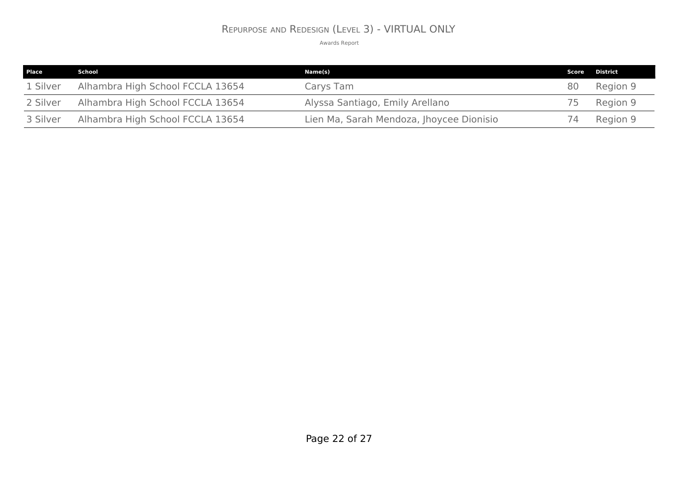### REPURPOSE AND REDESIGN (LEVEL 3) - VIRTUAL ONLY

| Place    | School                           | Name(s)                                  |    | <b>Score District</b> |
|----------|----------------------------------|------------------------------------------|----|-----------------------|
| 1 Silver | Alhambra High School FCCLA 13654 | Carys Tam                                | 80 | Region 9              |
| 2 Silver | Alhambra High School FCCLA 13654 | Alyssa Santiago, Emily Arellano          |    | Region 9              |
| 3 Silver | Alhambra High School FCCLA 13654 | Lien Ma, Sarah Mendoza, Jhoycee Dionisio |    | Region 9              |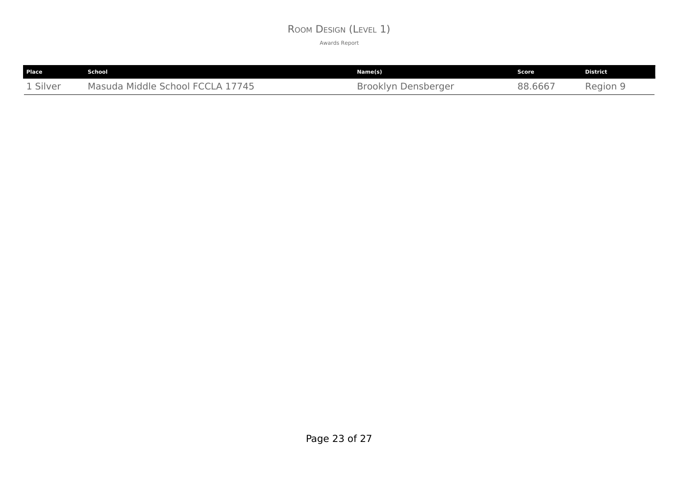### ROOM DESIGN (LEVEL 1)

| <b>Place</b> | School                                                         | Name(s)                       | Score   | <b>District</b> |
|--------------|----------------------------------------------------------------|-------------------------------|---------|-----------------|
| 1 Silver     | 17745<br>$\sim$<br>Middle School<br>Masuda<br>$-1$<br>$\Delta$ | <b>Brooklyn</b><br>Densberger | 88.6667 | Region 5        |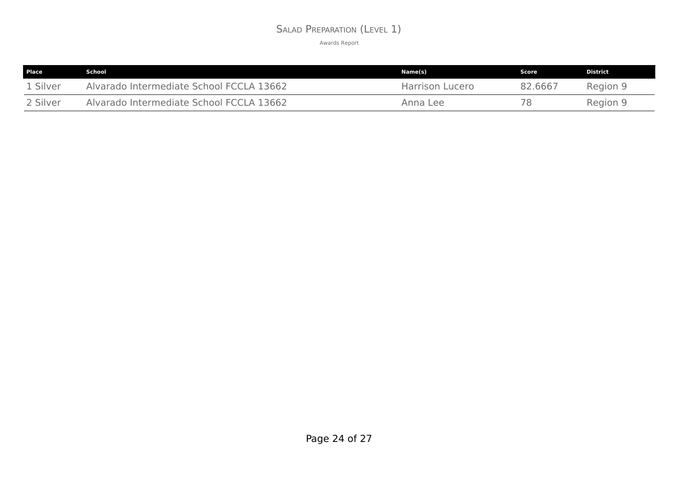### SALAD PREPARATION (LEVEL 1)

| Place    | School                                   | Name(s)         | Score   | <b>District</b> |
|----------|------------------------------------------|-----------------|---------|-----------------|
| 1 Silver | Alvarado Intermediate School FCCLA 13662 | Harrison Lucero | 82.6667 | Region 9        |
| 2 Silver | Alvarado Intermediate School FCCLA 13662 | Anna Lee        | 78      | Region 9        |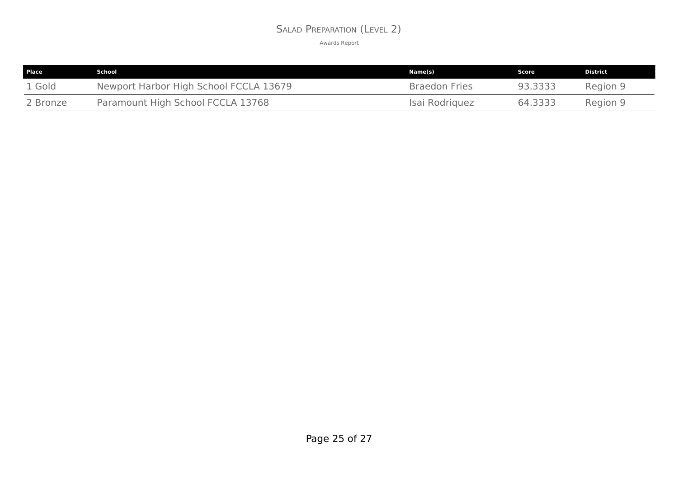### SALAD PREPARATION (LEVEL 2)

| Place    | School                                 | Name(s)              | Score   | <b>District</b> |
|----------|----------------------------------------|----------------------|---------|-----------------|
| 1 Gold   | Newport Harbor High School FCCLA 13679 | <b>Braedon Fries</b> | 93.3333 | Region 9        |
| 2 Bronze | Paramount High School FCCLA 13768      | Isai Rodriguez       | 64.3333 | Region 9        |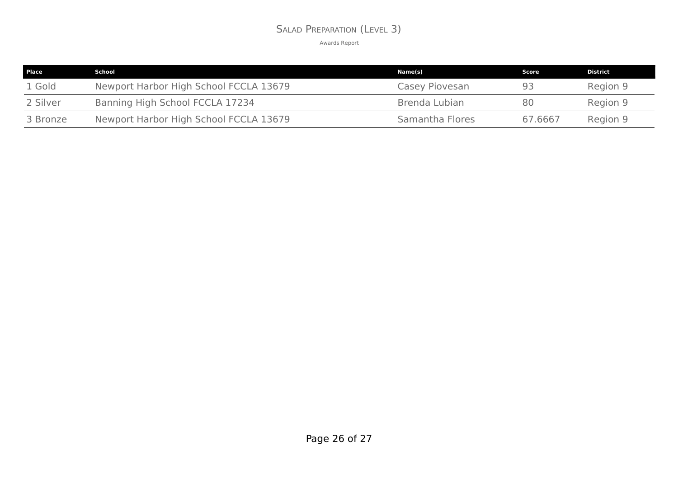### SALAD PREPARATION (LEVEL 3)

| <b>Place</b> | School                                 | Name(s)         | Score   | <b>District</b> |
|--------------|----------------------------------------|-----------------|---------|-----------------|
| 1 Gold       | Newport Harbor High School FCCLA 13679 | Casey Piovesan  | 93      | Region 9        |
| 2 Silver     | Banning High School FCCLA 17234        | Brenda Lubian   | 80      | Region 9        |
| 3 Bronze     | Newport Harbor High School FCCLA 13679 | Samantha Flores | 67.6667 | Region 9        |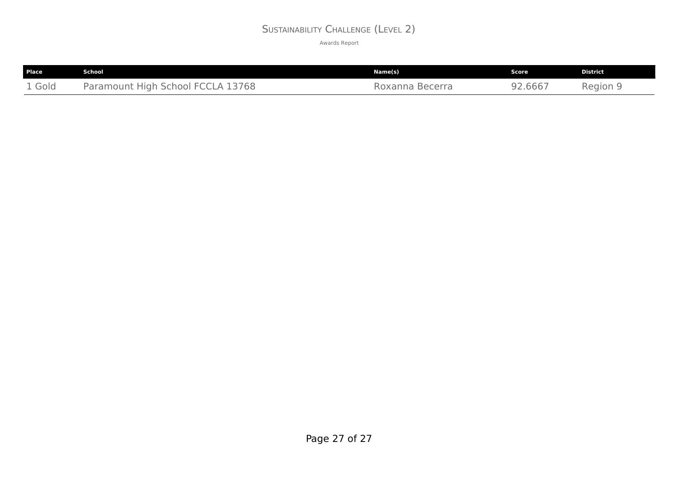## SUSTAINABILITY CHALLENGE (LEVEL 2)

| Place  | <b>School</b>                     | Name(s)         | Score   | <b>District</b> |
|--------|-----------------------------------|-----------------|---------|-----------------|
| 1 Gold | Paramount High School FCCLA 13768 | Roxanna Becerra | 92.6667 | Region 9        |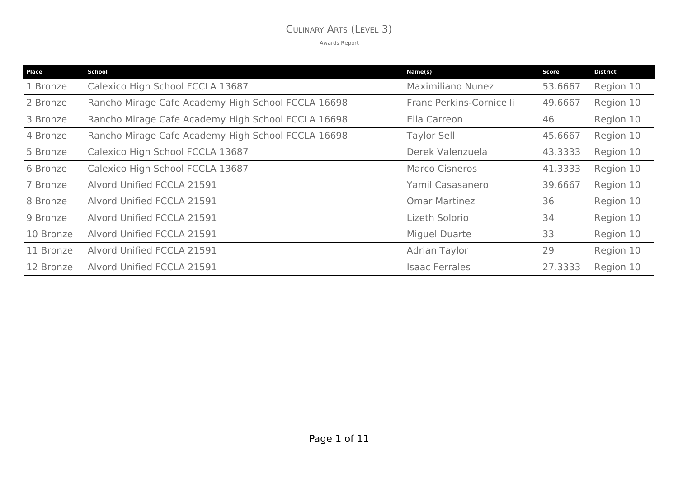## CULINARY ARTS (LEVEL 3)

| <b>Place</b> | <b>School</b>                                      | Name(s)                  | Score   | <b>District</b> |
|--------------|----------------------------------------------------|--------------------------|---------|-----------------|
| 1 Bronze     | Calexico High School FCCLA 13687                   | <b>Maximiliano Nunez</b> | 53.6667 | Region 10       |
| 2 Bronze     | Rancho Mirage Cafe Academy High School FCCLA 16698 | Franc Perkins-Cornicelli | 49.6667 | Region 10       |
| 3 Bronze     | Rancho Mirage Cafe Academy High School FCCLA 16698 | Ella Carreon             | 46      | Region 10       |
| 4 Bronze     | Rancho Mirage Cafe Academy High School FCCLA 16698 | <b>Taylor Sell</b>       | 45.6667 | Region 10       |
| 5 Bronze     | Calexico High School FCCLA 13687                   | Derek Valenzuela         | 43.3333 | Region 10       |
| 6 Bronze     | Calexico High School FCCLA 13687                   | <b>Marco Cisneros</b>    | 41.3333 | Region 10       |
| 7 Bronze     | Alvord Unified FCCLA 21591                         | Yamil Casasanero         | 39.6667 | Region 10       |
| 8 Bronze     | Alvord Unified FCCLA 21591                         | <b>Omar Martinez</b>     | 36      | Region 10       |
| 9 Bronze     | Alvord Unified FCCLA 21591                         | Lizeth Solorio           | 34      | Region 10       |
| 10 Bronze    | Alvord Unified FCCLA 21591                         | <b>Miguel Duarte</b>     | 33      | Region 10       |
| 11 Bronze    | Alvord Unified FCCLA 21591                         | <b>Adrian Taylor</b>     | 29      | Region 10       |
| 12 Bronze    | Alvord Unified FCCLA 21591                         | <b>Isaac Ferrales</b>    | 27.3333 | Region 10       |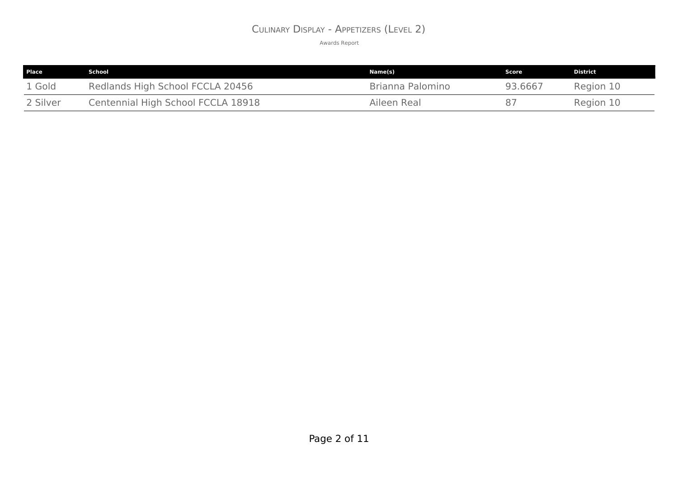## CULINARY DISPLAY - APPETIZERS (LEVEL 2)

| <b>Place</b> | School                             | Name(s)          | Score   | <b>District</b> |
|--------------|------------------------------------|------------------|---------|-----------------|
| 1 Gold       | Redlands High School FCCLA 20456   | Brianna Palomino | 93.6667 | Region 10       |
| 2 Silver     | Centennial High School FCCLA 18918 | Aileen Real      | 87      | Region 10       |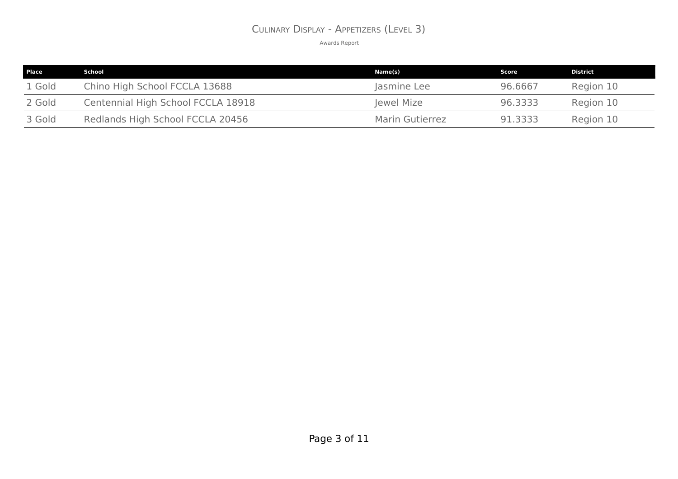## CULINARY DISPLAY - APPETIZERS (LEVEL 3)

| <b>Place</b> | School                             | Name(s)                | Score   | District  |
|--------------|------------------------------------|------------------------|---------|-----------|
| 1 Gold       | Chino High School FCCLA 13688      | Jasmine Lee            | 96.6667 | Region 10 |
| 2 Gold       | Centennial High School FCCLA 18918 | Jewel Mize             | 96.3333 | Region 10 |
| 3 Gold       | Redlands High School FCCLA 20456   | <b>Marin Gutierrez</b> | 91.3333 | Region 10 |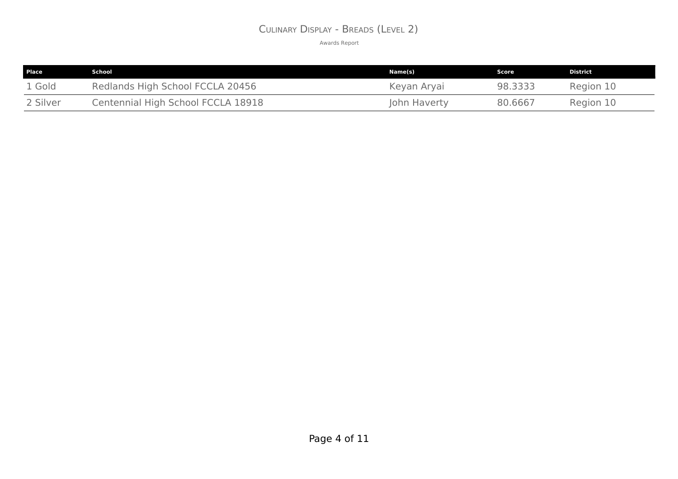## CULINARY DISPLAY - BREADS (LEVEL 2)

| <b>Place</b> | School                             | Name(s)      | Score   | <b>District</b> |
|--------------|------------------------------------|--------------|---------|-----------------|
| 1 Gold       | Redlands High School FCCLA 20456   | Keyan Aryai  | 98.3333 | Region 10       |
| 2 Silver     | Centennial High School FCCLA 18918 | John Haverty | 80.6667 | Region 10       |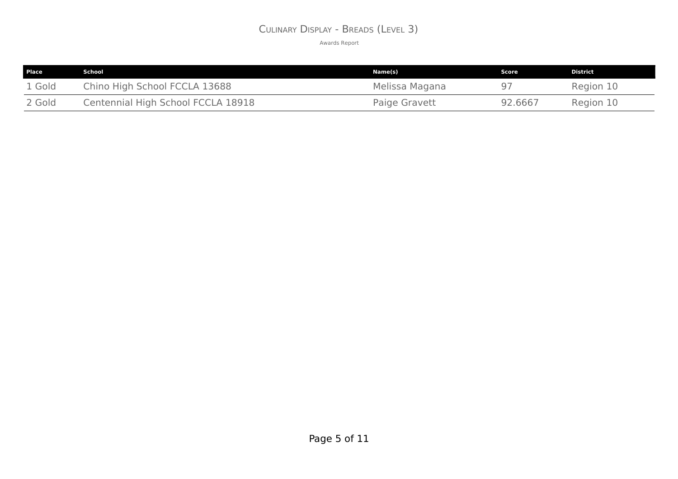## CULINARY DISPLAY - BREADS (LEVEL 3)

| Place  | School                             | Name(s)        | Score   | <b>District</b> |
|--------|------------------------------------|----------------|---------|-----------------|
| 1 Gold | Chino High School FCCLA 13688      | Melissa Magana |         | Region 10       |
| 2 Gold | Centennial High School FCCLA 18918 | Paige Gravett  | 92.6667 | Region 10       |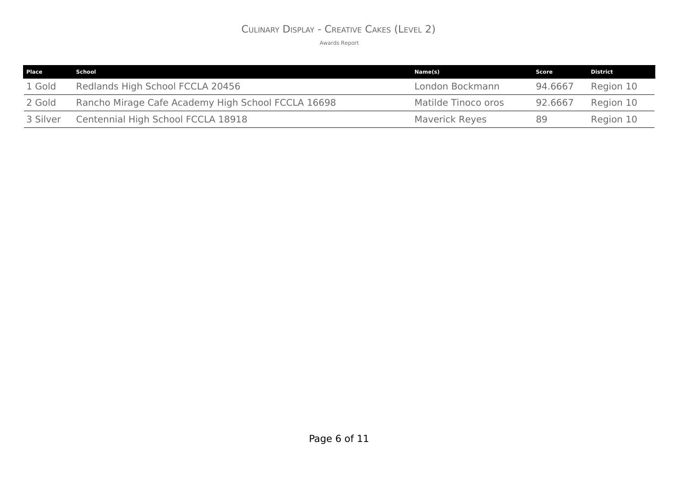## CULINARY DISPLAY - CREATIVE CAKES (LEVEL 2)

| Place    | School                                             | Name(s)               | Score   | District  |
|----------|----------------------------------------------------|-----------------------|---------|-----------|
| 1 Gold   | Redlands High School FCCLA 20456                   | London Bockmann       | 94.6667 | Region 10 |
| 2 Gold   | Rancho Mirage Cafe Academy High School FCCLA 16698 | Matilde Tinoco oros   | 92.6667 | Region 10 |
| 3 Silver | Centennial High School FCCLA 18918                 | <b>Maverick Reyes</b> | 89      | Region 10 |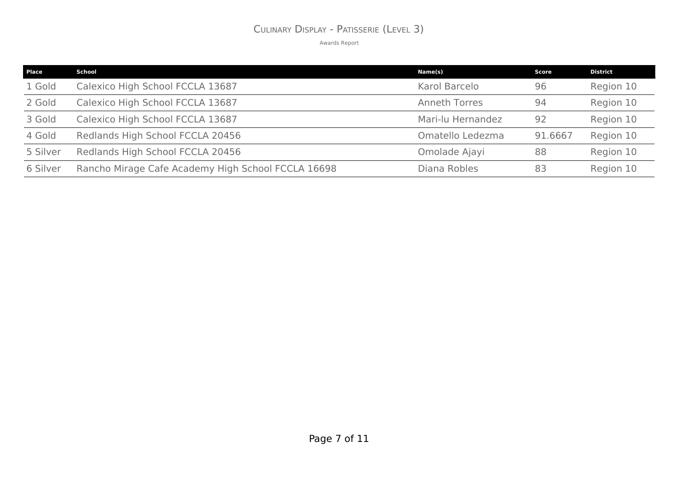# CULINARY DISPLAY - PATISSERIE (LEVEL 3)

| Place    | School                                             | Name(s)              | Score   | <b>District</b> |
|----------|----------------------------------------------------|----------------------|---------|-----------------|
| 1 Gold   | Calexico High School FCCLA 13687                   | Karol Barcelo        | 96      | Region 10       |
| 2 Gold   | Calexico High School FCCLA 13687                   | <b>Anneth Torres</b> | 94      | Region 10       |
| 3 Gold   | Calexico High School FCCLA 13687                   | Mari-lu Hernandez    | 92      | Region 10       |
| 4 Gold   | Redlands High School FCCLA 20456                   | Omatello Ledezma     | 91.6667 | Region 10       |
| 5 Silver | Redlands High School FCCLA 20456                   | Omolade Ajayi        | 88      | Region 10       |
| 6 Silver | Rancho Mirage Cafe Academy High School FCCLA 16698 | Diana Robles         | 83      | Region 10       |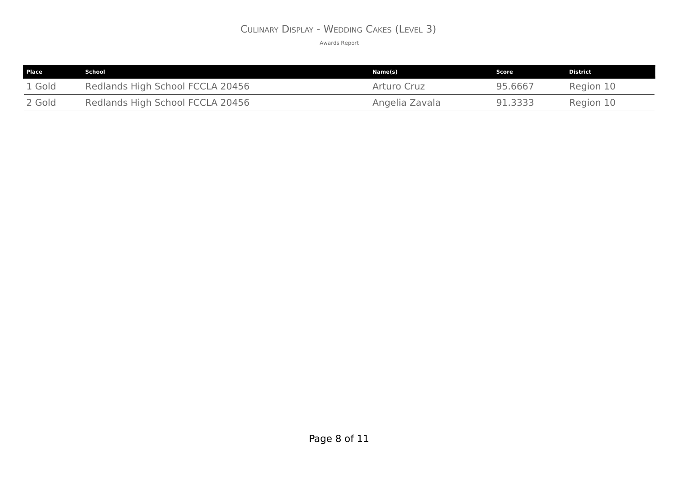## CULINARY DISPLAY - WEDDING CAKES (LEVEL 3)

| <b>Place</b> | School                           | Name(s)        | Score   | <b>District</b> |
|--------------|----------------------------------|----------------|---------|-----------------|
| 1 Gold       | Redlands High School FCCLA 20456 | Arturo Cruz    | 95.6667 | Region 10       |
| 2 Gold       | Redlands High School FCCLA 20456 | Angelia Zavala | 91.3333 | Region 10       |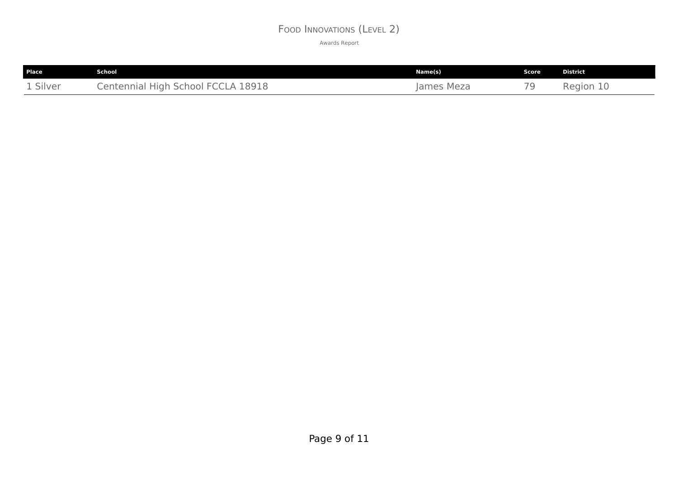## FOOD INNOVATIONS (LEVEL 2)

| Place    | <b>School</b>                      | Name(s)    | Score | <b>District</b> |
|----------|------------------------------------|------------|-------|-----------------|
| 1 Silver | Centennial High School FCCLA 18918 | James Meza |       | Region<br>TO    |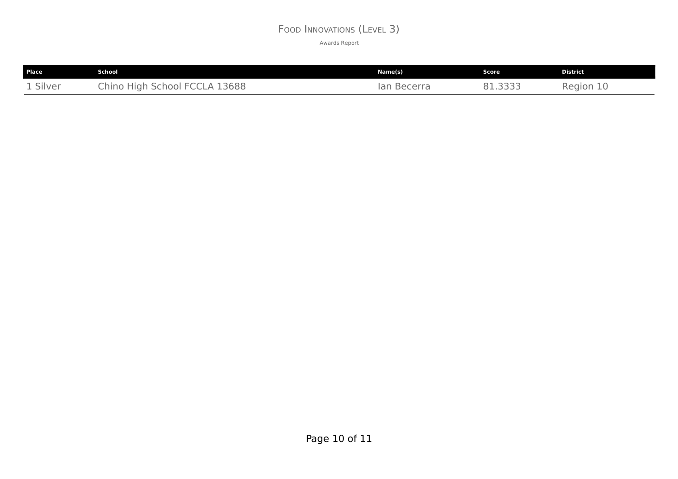## FOOD INNOVATIONS (LEVEL 3)

| Place    | School                        | Name(s)               | Score | <b>District</b> |
|----------|-------------------------------|-----------------------|-------|-----------------|
| 1 Silver | Chino High School FCCLA 13688 | <b>Becerra</b><br>lan | ゴゴゴニ  | Region 10       |